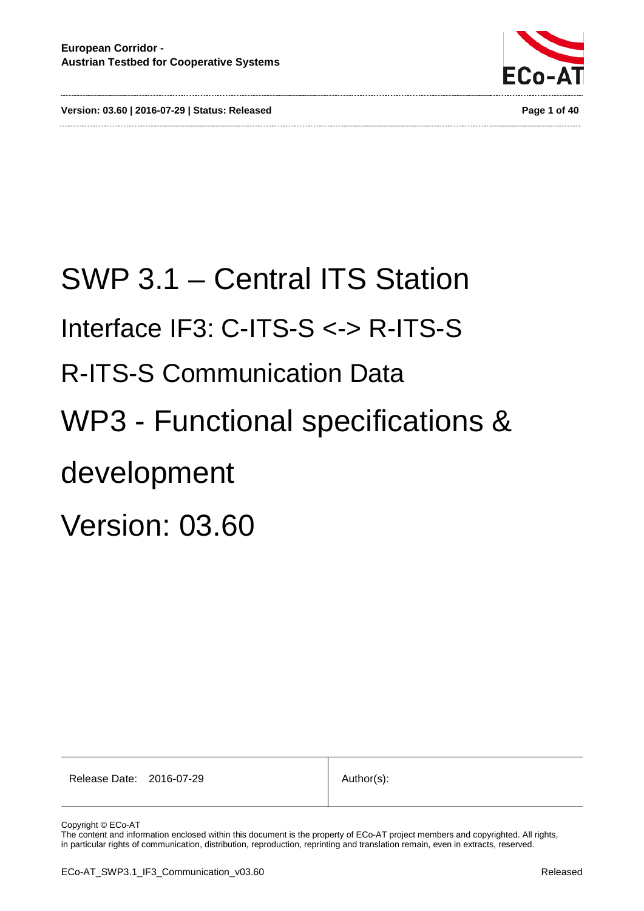**Version: 03.60 | 2016-07-29 | Status: Released Page 1 of 40**



# SWP 3.1 – Central ITS Station Interface IF3: C-ITS-S <-> R-ITS-S R-ITS-S Communication Data WP3 - Functional specifications & development Version: 03.60

Release Date: 2016-07-29 Author(s):

Copyright © ECo-AT

The content and information enclosed within this document is the property of ECo-AT project members and copyrighted. All rights, in particular rights of communication, distribution, reproduction, reprinting and translation remain, even in extracts, reserved.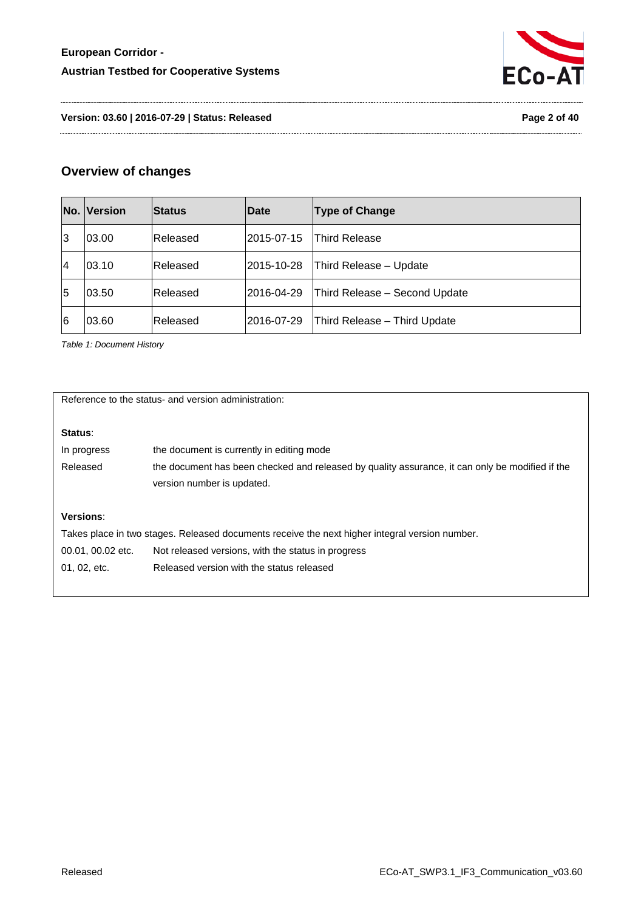

**Version: 03.60 | 2016-07-29 | Status: Released Page 2 of 40**

# **Overview of changes**

|    | No. Version | <b>Status</b> | Date        | <b>Type of Change</b>         |
|----|-------------|---------------|-------------|-------------------------------|
| 13 | 03.00       | lReleased     | l2015-07-15 | Third Release                 |
| 14 | 03.10       | Released      | 2015-10-28  | Third Release - Update        |
| 15 | 03.50       | lReleased     | 2016-04-29  | Third Release - Second Update |
| 6  | 03.60       | Released      | 2016-07-29  | Third Release - Third Update  |

<span id="page-1-0"></span>*Table 1: Document History*

Reference to the status- and version administration:

# **Status**:

| In progress | the document is currently in editing mode                                                       |
|-------------|-------------------------------------------------------------------------------------------------|
| Released    | the document has been checked and released by quality assurance, it can only be modified if the |
|             | version number is updated.                                                                      |

#### **Versions**:

Takes place in two stages. Released documents receive the next higher integral version number.

- 00.01, 00.02 etc. Not released versions, with the status in progress
- 01, 02, etc. Released version with the status released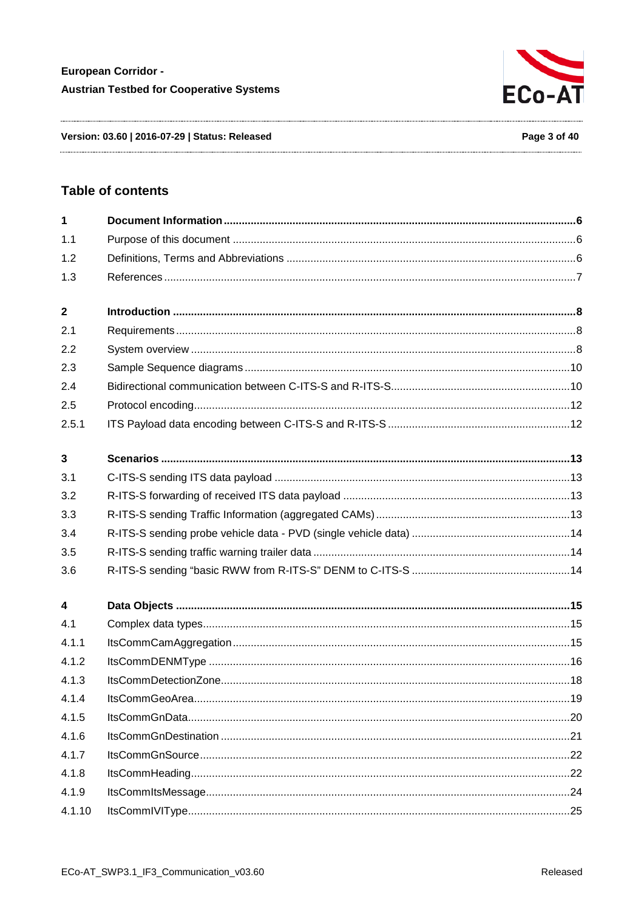

Version: 03.60 | 2016-07-29 | Status: Released

# **Table of contents**

| 1                |  |
|------------------|--|
| 1.1              |  |
| 1.2              |  |
| 1.3              |  |
| $\mathbf{2}$     |  |
| 2.1              |  |
| 2.2              |  |
| 2.3              |  |
| 2.4              |  |
| 2.5              |  |
| 2.5.1            |  |
| 3                |  |
| 3.1              |  |
| 3.2              |  |
| 3.3              |  |
| 3.4              |  |
| 3.5              |  |
| 3.6              |  |
| $\boldsymbol{4}$ |  |
| 4.1              |  |
| 4.1.1            |  |
| 4.1.2            |  |
| 4.1.3            |  |
| 4.1.4            |  |
| 4.1.5            |  |
| 4.1.6            |  |
| 4.1.7            |  |
| 4.1.8            |  |
| 4.1.9            |  |
| 4.1.10           |  |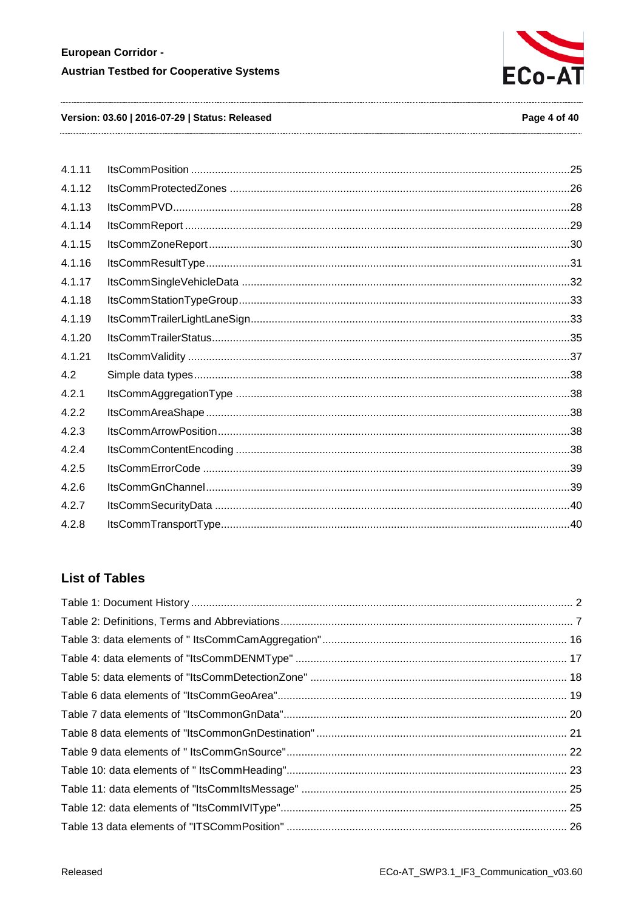

#### Version: 03.60 | 2016-07-29 | Status: Released

#### Page 4 of 40

| 4.1.11 |  |
|--------|--|
| 4.1.12 |  |
| 4.1.13 |  |
| 4.1.14 |  |
| 4.1.15 |  |
| 4.1.16 |  |
| 4.1.17 |  |
| 4.1.18 |  |
| 4.1.19 |  |
| 4.1.20 |  |
| 4.1.21 |  |
| 4.2    |  |
| 4.2.1  |  |
| 4.2.2  |  |
| 4.2.3  |  |
| 4.2.4  |  |
| 4.2.5  |  |
| 4.2.6  |  |
| 4.2.7  |  |
| 4.2.8  |  |
|        |  |

# **List of Tables**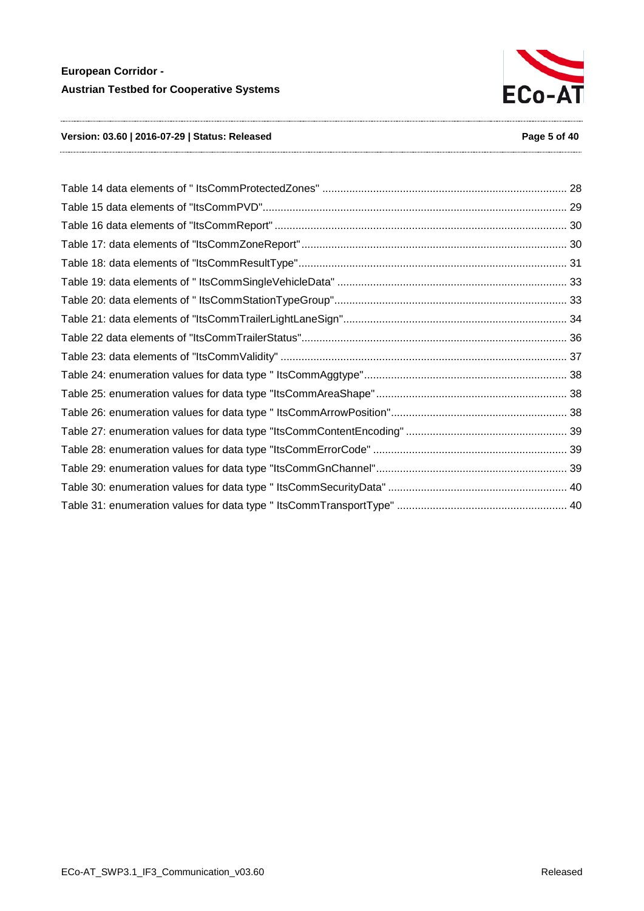

#### **Version: 03.60 | 2016-07-29 | Status: Released Page 5 of 40**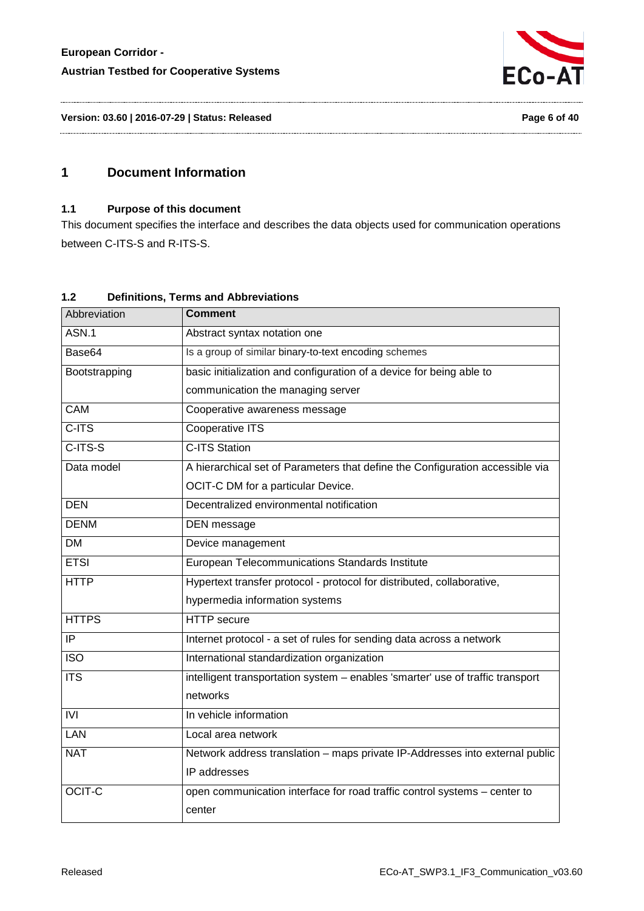

**Version: 03.60 | 2016-07-29 | Status: Released Page 6 of 40**

# <span id="page-5-1"></span><span id="page-5-0"></span>**1 Document Information**

#### **1.1 Purpose of this document**

This document specifies the interface and describes the data objects used for communication operations between C-ITS-S and R-ITS-S.

## <span id="page-5-2"></span>**1.2 Definitions, Terms and Abbreviations**

| Abbreviation     | <b>Comment</b>                                                                 |  |
|------------------|--------------------------------------------------------------------------------|--|
| ASN.1            | Abstract syntax notation one                                                   |  |
| Base64           | Is a group of similar binary-to-text encoding schemes                          |  |
| Bootstrapping    | basic initialization and configuration of a device for being able to           |  |
|                  | communication the managing server                                              |  |
| CAM              | Cooperative awareness message                                                  |  |
| $C-ITS$          | <b>Cooperative ITS</b>                                                         |  |
| $C-ITS-S$        | <b>C-ITS Station</b>                                                           |  |
| Data model       | A hierarchical set of Parameters that define the Configuration accessible via  |  |
|                  | OCIT-C DM for a particular Device.                                             |  |
| <b>DEN</b>       | Decentralized environmental notification                                       |  |
| <b>DENM</b>      | DEN message                                                                    |  |
| <b>DM</b>        | Device management                                                              |  |
| <b>ETSI</b>      | European Telecommunications Standards Institute                                |  |
| <b>HTTP</b>      | Hypertext transfer protocol - protocol for distributed, collaborative,         |  |
|                  | hypermedia information systems                                                 |  |
| <b>HTTPS</b>     | <b>HTTP</b> secure                                                             |  |
| $\overline{IP}$  | Internet protocol - a set of rules for sending data across a network           |  |
| $\overline{ISO}$ | International standardization organization                                     |  |
| <b>ITS</b>       | intelligent transportation system - enables 'smarter' use of traffic transport |  |
|                  | networks                                                                       |  |
| IVI              | In vehicle information                                                         |  |
| <b>LAN</b>       | Local area network                                                             |  |
| <b>NAT</b>       | Network address translation - maps private IP-Addresses into external public   |  |
|                  | IP addresses                                                                   |  |
| <b>OCIT-C</b>    | open communication interface for road traffic control systems - center to      |  |
|                  | center                                                                         |  |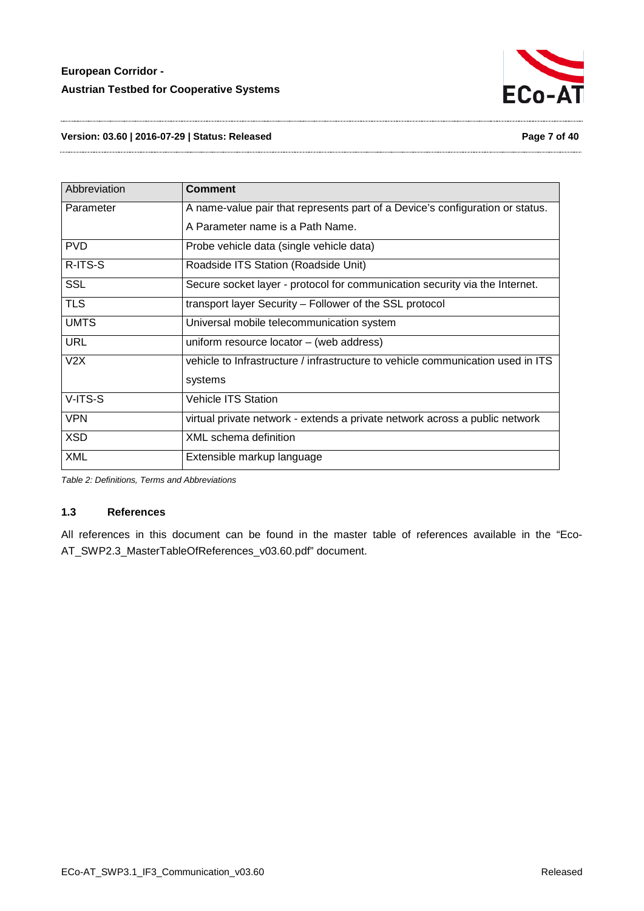

**Version: 03.60 | 2016-07-29 | Status: Released Page 7 of 40**

| Abbreviation | <b>Comment</b>                                                                  |
|--------------|---------------------------------------------------------------------------------|
| Parameter    | A name-value pair that represents part of a Device's configuration or status.   |
|              | A Parameter name is a Path Name.                                                |
| <b>PVD</b>   | Probe vehicle data (single vehicle data)                                        |
| R-ITS-S      | Roadside ITS Station (Roadside Unit)                                            |
| <b>SSL</b>   | Secure socket layer - protocol for communication security via the Internet.     |
| <b>TLS</b>   | transport layer Security – Follower of the SSL protocol                         |
| <b>UMTS</b>  | Universal mobile telecommunication system                                       |
| <b>URL</b>   | uniform resource locator $-$ (web address)                                      |
| V2X          | vehicle to Infrastructure / infrastructure to vehicle communication used in ITS |
|              | systems                                                                         |
| V-ITS-S      | <b>Vehicle ITS Station</b>                                                      |
| <b>VPN</b>   | virtual private network - extends a private network across a public network     |
| <b>XSD</b>   | XML schema definition                                                           |
| <b>XML</b>   | Extensible markup language                                                      |

<span id="page-6-1"></span>*Table 2: Definitions, Terms and Abbreviations*

#### <span id="page-6-0"></span>**1.3 References**

All references in this document can be found in the master table of references available in the "Eco-AT\_SWP2.3\_MasterTableOfReferences\_v03.60.pdf" document.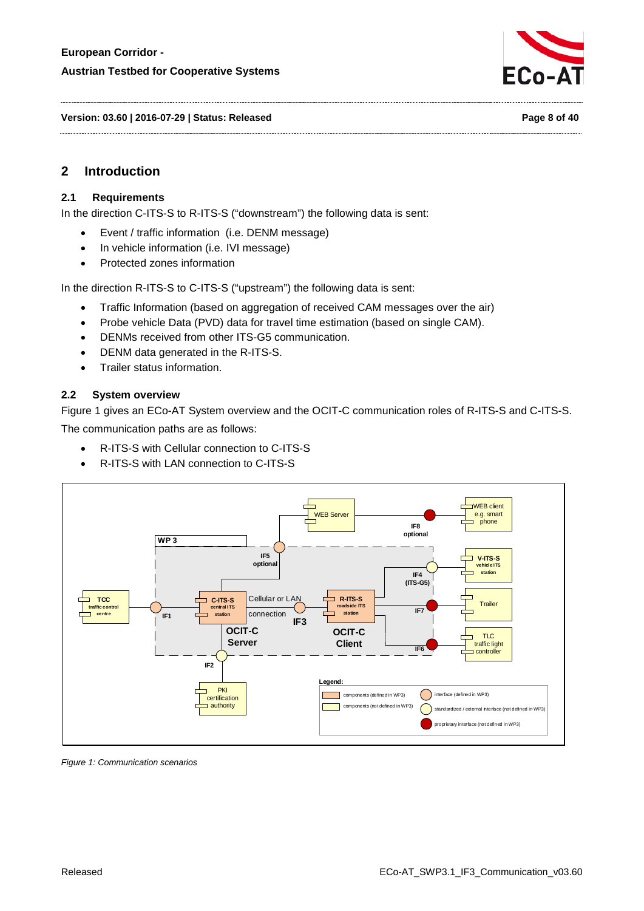

**Version: 03.60 | 2016-07-29 | Status: Released Page 8 of 40**

# <span id="page-7-0"></span>**2 Introduction**

#### <span id="page-7-1"></span>**2.1 Requirements**

In the direction C-ITS-S to R-ITS-S ("downstream") the following data is sent:

- Event / traffic information (i.e. DENM message)
- In vehicle information (i.e. IVI message)
- Protected zones information

In the direction R-ITS-S to C-ITS-S ("upstream") the following data is sent:

- Traffic Information (based on aggregation of received CAM messages over the air)
- Probe vehicle Data (PVD) data for travel time estimation (based on single CAM).
- DENMs received from other ITS-G5 communication.
- DENM data generated in the R-ITS-S.
- Trailer status information.

#### <span id="page-7-2"></span>**2.2 System overview**

[Figure 1](#page-7-3) gives an ECo-AT System overview and the OCIT-C communication roles of R-ITS-S and C-ITS-S. The communication paths are as follows:

- R-ITS-S with Cellular connection to C-ITS-S
- R-ITS-S with LAN connection to C-ITS-S



<span id="page-7-3"></span>*Figure 1: Communication scenarios*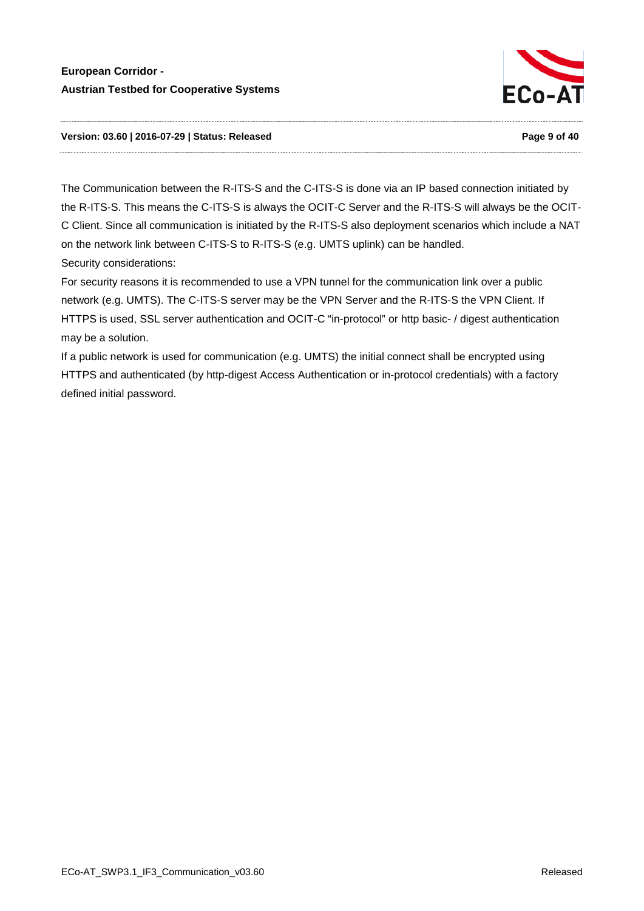

#### **Version: 03.60 | 2016-07-29 | Status: Released Page 9 of 40**

The Communication between the R-ITS-S and the C-ITS-S is done via an IP based connection initiated by the R-ITS-S. This means the C-ITS-S is always the OCIT-C Server and the R-ITS-S will always be the OCIT-C Client. Since all communication is initiated by the R-ITS-S also deployment scenarios which include a NAT on the network link between C-ITS-S to R-ITS-S (e.g. UMTS uplink) can be handled. Security considerations:

For security reasons it is recommended to use a VPN tunnel for the communication link over a public network (e.g. UMTS). The C-ITS-S server may be the VPN Server and the R-ITS-S the VPN Client. If HTTPS is used, SSL server authentication and OCIT-C "in-protocol" or http basic- / digest authentication may be a solution.

If a public network is used for communication (e.g. UMTS) the initial connect shall be encrypted using HTTPS and authenticated (by http-digest Access Authentication or in-protocol credentials) with a factory defined initial password.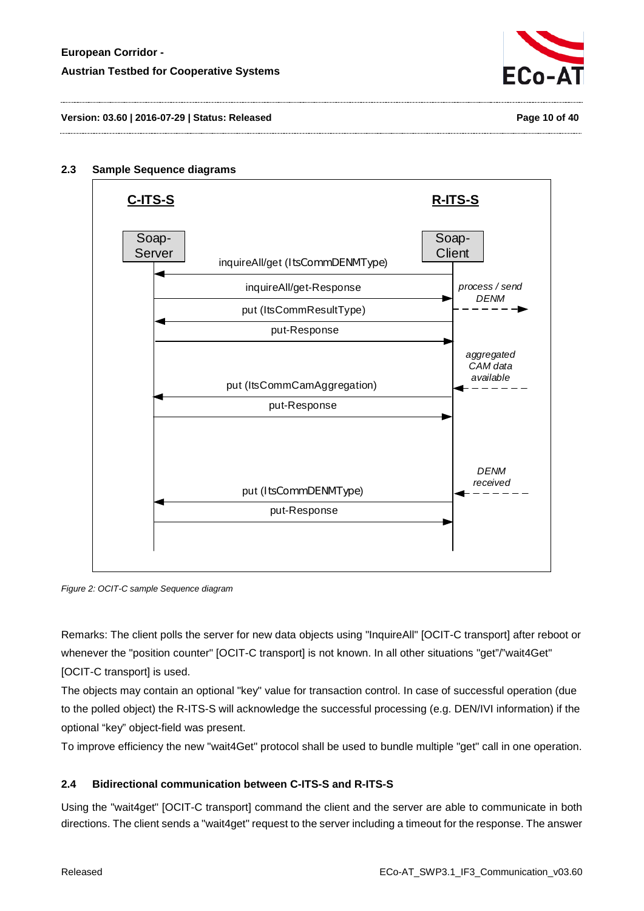



#### <span id="page-9-0"></span>**2.3 Sample Sequence diagrams**



*Figure 2: OCIT-C sample Sequence diagram*

Remarks: The client polls the server for new data objects using "InquireAll" [OCIT-C transport] after reboot or whenever the "position counter" [OCIT-C transport] is not known. In all other situations "get"/"wait4Get" [OCIT-C transport] is used.

The objects may contain an optional "key" value for transaction control. In case of successful operation (due to the polled object) the R-ITS-S will acknowledge the successful processing (e.g. DEN/IVI information) if the optional "key" object-field was present.

<span id="page-9-1"></span>To improve efficiency the new "wait4Get" protocol shall be used to bundle multiple "get" call in one operation.

#### **2.4 Bidirectional communication between C-ITS-S and R-ITS-S**

Using the "wait4get" [OCIT-C transport] command the client and the server are able to communicate in both directions. The client sends a "wait4get" request to the server including a timeout for the response. The answer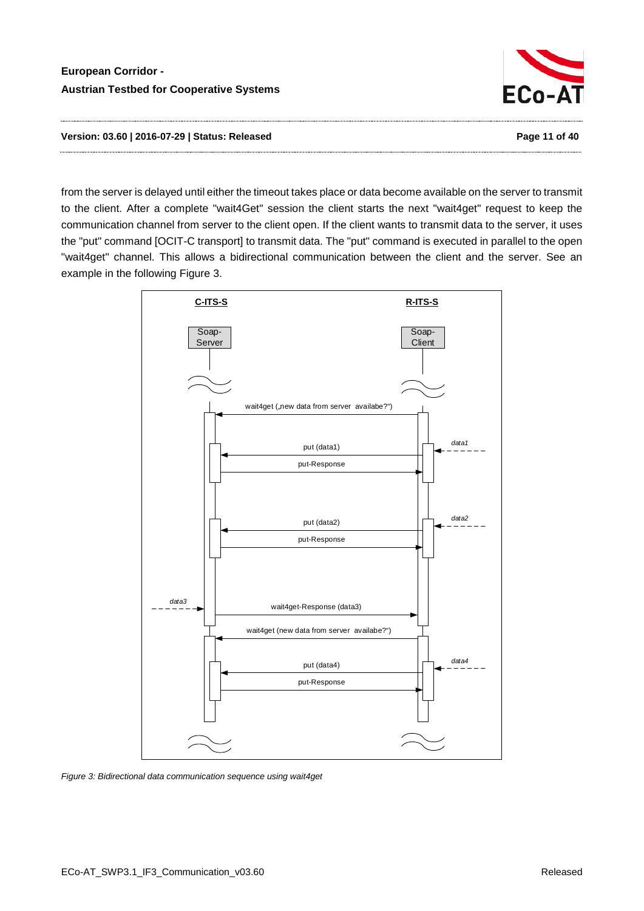

**Version: 03.60 | 2016-07-29 | Status: Released Page 11 of 40**

from the server is delayed until either the timeout takes place or data become available on the server to transmit to the client. After a complete "wait4Get" session the client starts the next "wait4get" request to keep the communication channel from server to the client open. If the client wants to transmit data to the server, it uses the "put" command [OCIT-C transport] to transmit data. The "put" command is executed in parallel to the open "wait4get" channel. This allows a bidirectional communication between the client and the server. See an example in the following [Figure 3.](#page-10-0)



<span id="page-10-0"></span>*Figure 3: Bidirectional data communication sequence using wait4get*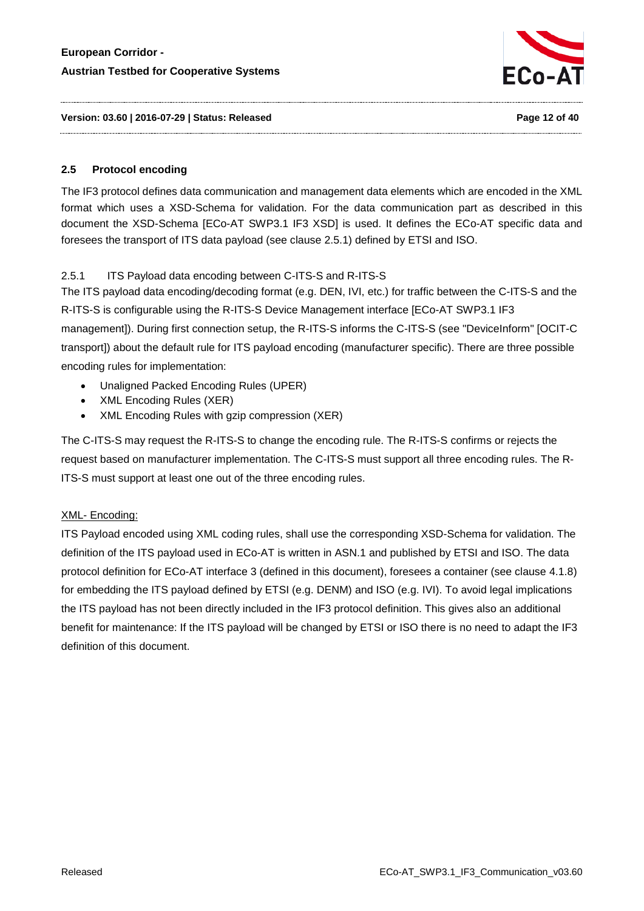

**Version: 03.60 | 2016-07-29 | Status: Released Page 12 of 40**

#### <span id="page-11-0"></span>**2.5 Protocol encoding**

The IF3 protocol defines data communication and management data elements which are encoded in the XML format which uses a XSD-Schema for validation. For the data communication part as described in this document the XSD-Schema [ECo-AT SWP3.1 IF3 XSD] is used. It defines the ECo-AT specific data and foresees the transport of ITS data payload (see clause [2.5.1\)](#page-11-1) defined by ETSI and ISO.

# <span id="page-11-1"></span>2.5.1 ITS Payload data encoding between C-ITS-S and R-ITS-S

The ITS payload data encoding/decoding format (e.g. DEN, IVI, etc.) for traffic between the C-ITS-S and the R-ITS-S is configurable using the R-ITS-S Device Management interface [ECo-AT SWP3.1 IF3 management]). During first connection setup, the R-ITS-S informs the C-ITS-S (see "DeviceInform" [OCIT-C transport]) about the default rule for ITS payload encoding (manufacturer specific). There are three possible encoding rules for implementation:

- Unaligned Packed Encoding Rules (UPER)
- XML Encoding Rules (XER)
- XML Encoding Rules with gzip compression (XER)

The C-ITS-S may request the R-ITS-S to change the encoding rule. The R-ITS-S confirms or rejects the request based on manufacturer implementation. The C-ITS-S must support all three encoding rules. The R-ITS-S must support at least one out of the three encoding rules.

# XML- Encoding:

ITS Payload encoded using XML coding rules, shall use the corresponding XSD-Schema for validation. The definition of the ITS payload used in ECo-AT is written in ASN.1 and published by ETSI and ISO. The data protocol definition for ECo-AT interface 3 (defined in this document), foresees a container (see clause [4.1.8\)](#page-21-1) for embedding the ITS payload defined by ETSI (e.g. DENM) and ISO (e.g. IVI). To avoid legal implications the ITS payload has not been directly included in the IF3 protocol definition. This gives also an additional benefit for maintenance: If the ITS payload will be changed by ETSI or ISO there is no need to adapt the IF3 definition of this document.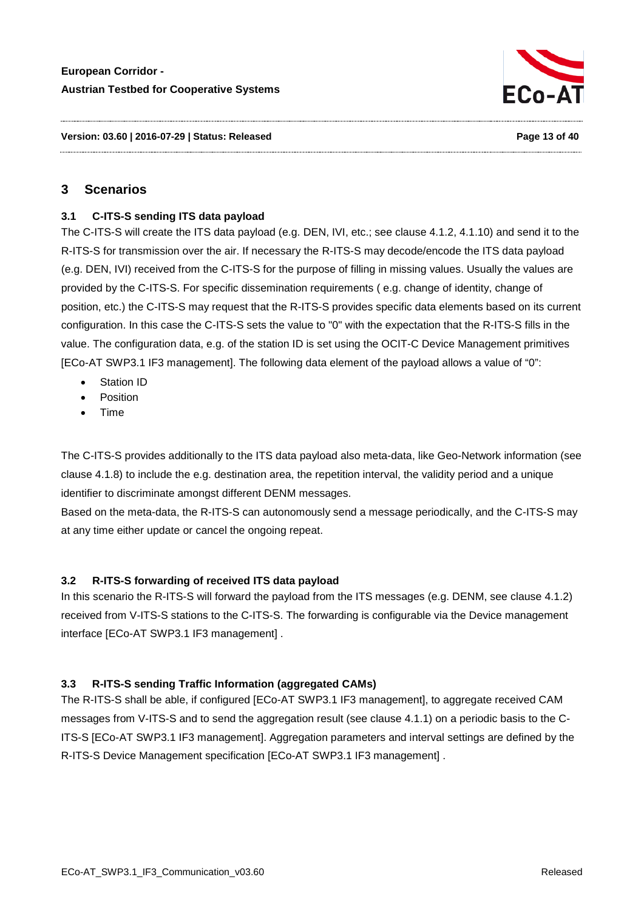

# <span id="page-12-0"></span>**3 Scenarios**

#### <span id="page-12-1"></span>**3.1 C-ITS-S sending ITS data payload**

The C-ITS-S will create the ITS data payload (e.g. DEN, IVI, etc.; see clause [4.1.2,](#page-15-0) [4.1.10\)](#page-24-0) and send it to the R-ITS-S for transmission over the air. If necessary the R-ITS-S may decode/encode the ITS data payload (e.g. DEN, IVI) received from the C-ITS-S for the purpose of filling in missing values. Usually the values are provided by the C-ITS-S. For specific dissemination requirements ( e.g. change of identity, change of position, etc.) the C-ITS-S may request that the R-ITS-S provides specific data elements based on its current configuration. In this case the C-ITS-S sets the value to "0" with the expectation that the R-ITS-S fills in the value. The configuration data, e.g. of the station ID is set using the OCIT-C Device Management primitives [ECo-AT SWP3.1 IF3 management]. The following data element of the payload allows a value of "0":

- **Station ID**
- **Position**
- Time

The C-ITS-S provides additionally to the ITS data payload also meta-data, like Geo-Network information (see clause [4.1.8\)](#page-21-1) to include the e.g. destination area, the repetition interval, the validity period and a unique identifier to discriminate amongst different DENM messages.

Based on the meta-data, the R-ITS-S can autonomously send a message periodically, and the C-ITS-S may at any time either update or cancel the ongoing repeat.

#### <span id="page-12-2"></span>**3.2 R-ITS-S forwarding of received ITS data payload**

In this scenario the R-ITS-S will forward the payload from the ITS messages (e.g. DENM, see clause [4.1.2\)](#page-15-0) received from V-ITS-S stations to the C-ITS-S. The forwarding is configurable via the Device management interface [ECo-AT SWP3.1 IF3 management] .

#### <span id="page-12-3"></span>**3.3 R-ITS-S sending Traffic Information (aggregated CAMs)**

The R-ITS-S shall be able, if configured [ECo-AT SWP3.1 IF3 management], to aggregate received CAM messages from V-ITS-S and to send the aggregation result (see clause [4.1.1\)](#page-14-2) on a periodic basis to the C-ITS-S [ECo-AT SWP3.1 IF3 management]. Aggregation parameters and interval settings are defined by the R-ITS-S Device Management specification [ECo-AT SWP3.1 IF3 management] .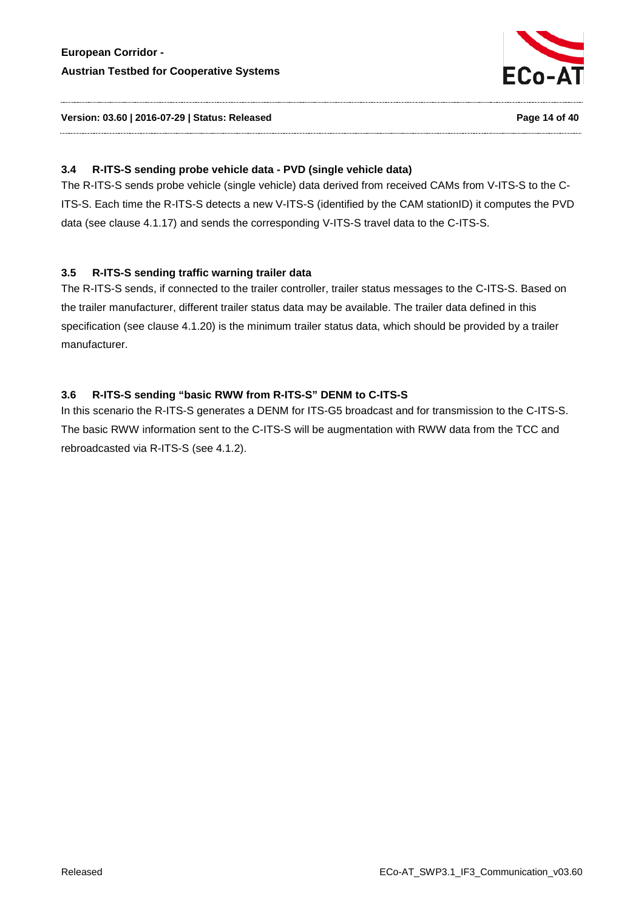

#### **Version: 03.60 | 2016-07-29 | Status: Released Page 14 of 40**

#### <span id="page-13-0"></span>**3.4 R-ITS-S sending probe vehicle data - PVD (single vehicle data)**

The R-ITS-S sends probe vehicle (single vehicle) data derived from received CAMs from V-ITS-S to the C-ITS-S. Each time the R-ITS-S detects a new V-ITS-S (identified by the CAM stationID) it computes the PVD data (see clause [4.1.17\)](#page-31-0) and sends the corresponding V-ITS-S travel data to the C-ITS-S.

#### <span id="page-13-1"></span>**3.5 R-ITS-S sending traffic warning trailer data**

The R-ITS-S sends, if connected to the trailer controller, trailer status messages to the C-ITS-S. Based on the trailer manufacturer, different trailer status data may be available. The trailer data defined in this specification (see clause [4.1.20\)](#page-34-0) is the minimum trailer status data, which should be provided by a trailer manufacturer.

#### <span id="page-13-2"></span>**3.6 R-ITS-S sending "basic RWW from R-ITS-S" DENM to C-ITS-S**

In this scenario the R-ITS-S generates a DENM for ITS-G5 broadcast and for transmission to the C-ITS-S. The basic RWW information sent to the C-ITS-S will be augmentation with RWW data from the TCC and rebroadcasted via R-ITS-S (see [4.1.2\)](#page-15-0).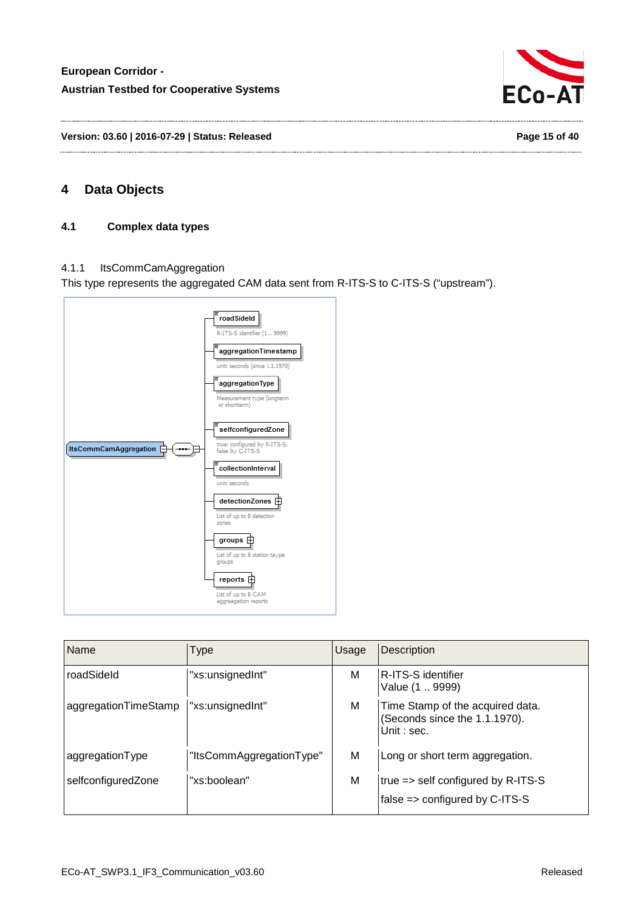

**Version: 03.60 | 2016-07-29 | Status: Released Page 15 of 40**

# <span id="page-14-1"></span><span id="page-14-0"></span>**4 Data Objects**

#### **4.1 Complex data types**

#### <span id="page-14-2"></span>4.1.1 ItsCommCamAggregation

This type represents the aggregated CAM data sent from R-ITS-S to C-ITS-S ("upstream").



| Name                 | Type                     | Usage | <b>Description</b>                                                              |
|----------------------|--------------------------|-------|---------------------------------------------------------------------------------|
| roadSideld           | "xs:unsignedInt"         | M     | R-ITS-S identifier<br>Value (1  9999)                                           |
| aggregationTimeStamp | "xs:unsignedInt"         | M     | Time Stamp of the acquired data.<br>(Seconds since the 1.1.1970).<br>Unit: sec. |
| aggregationType      | "ItsCommAggregationType" | M     | Long or short term aggregation.                                                 |
| selfconfiguredZone   | "xs:boolean"             | М     | true => self configured by R-ITS-S<br>false => configured by C-ITS-S            |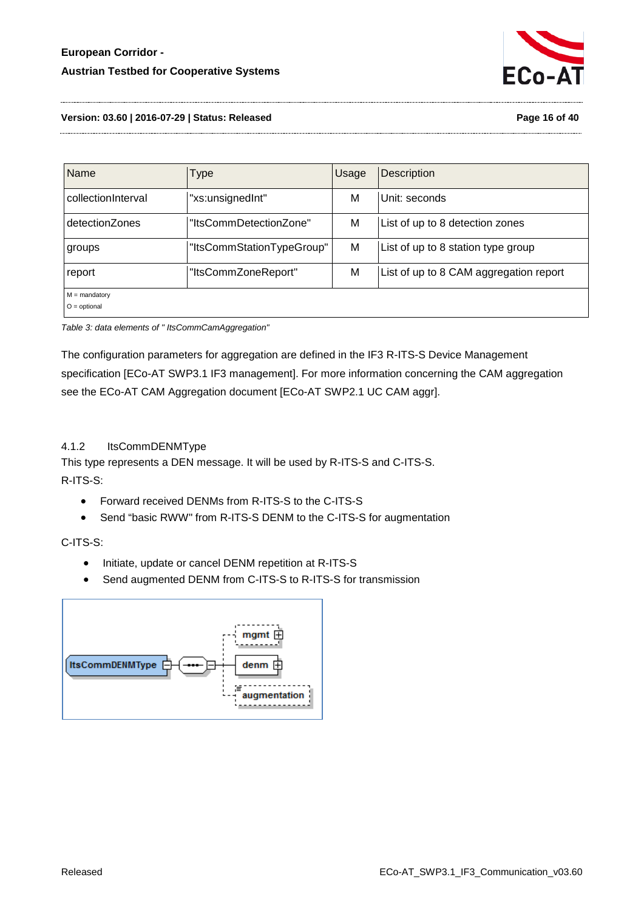

**Version: 03.60 | 2016-07-29 | Status: Released Page 16 of 40**

| <b>Name</b>                       | <b>Type</b>               | Usage | <b>Description</b>                     |
|-----------------------------------|---------------------------|-------|----------------------------------------|
| collectionInterval                | "xs:unsignedInt"          | М     | Unit: seconds                          |
| detectionZones                    | "ItsCommDetectionZone"    | M     | List of up to 8 detection zones        |
| groups                            | "ItsCommStationTypeGroup" | M     | List of up to 8 station type group     |
| report                            | "ItsCommZoneReport"       | M     | List of up to 8 CAM aggregation report |
| $M =$ mandatory<br>$O =$ optional |                           |       |                                        |

<span id="page-15-1"></span>*Table 3: data elements of " ItsCommCamAggregation"*

The configuration parameters for aggregation are defined in the IF3 R-ITS-S Device Management specification [ECo-AT SWP3.1 IF3 management]. For more information concerning the CAM aggregation see the ECo-AT CAM Aggregation document [ECo-AT SWP2.1 UC CAM aggr].

#### <span id="page-15-0"></span>4.1.2 ItsCommDENMType

This type represents a DEN message. It will be used by R-ITS-S and C-ITS-S. R-ITS-S:

- Forward received DENMs from R-ITS-S to the C-ITS-S
- Send "basic RWW" from R-ITS-S DENM to the C-ITS-S for augmentation

# C-ITS-S:

- Initiate, update or cancel DENM repetition at R-ITS-S
- Send augmented DENM from C-ITS-S to R-ITS-S for transmission

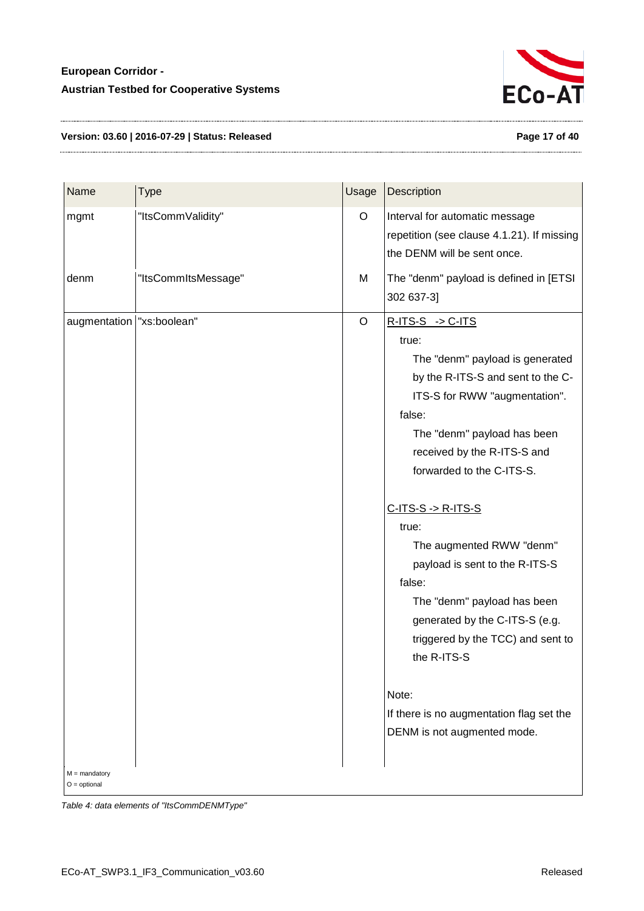

#### **Version: 03.60 | 2016-07-29 | Status: Released Page 17 of 40**

| Name                              | <b>Type</b>         | Usage | Description                                |
|-----------------------------------|---------------------|-------|--------------------------------------------|
| mgmt                              | "ItsCommValidity"   | O     | Interval for automatic message             |
|                                   |                     |       | repetition (see clause 4.1.21). If missing |
|                                   |                     |       | the DENM will be sent once.                |
| denm                              | "ItsCommItsMessage" | M     | The "denm" payload is defined in [ETSI     |
|                                   |                     |       | 302 637-3]                                 |
| augmentation   "xs:boolean"       |                     | O     | $R-ITS-S \rightarrow C-ITS$                |
|                                   |                     |       | true:                                      |
|                                   |                     |       | The "denm" payload is generated            |
|                                   |                     |       | by the R-ITS-S and sent to the C-          |
|                                   |                     |       | ITS-S for RWW "augmentation".              |
|                                   |                     |       | false:                                     |
|                                   |                     |       | The "denm" payload has been                |
|                                   |                     |       | received by the R-ITS-S and                |
|                                   |                     |       | forwarded to the C-ITS-S.                  |
|                                   |                     |       | $C-ITS-S \rightarrow R-ITS-S$              |
|                                   |                     |       | true:                                      |
|                                   |                     |       | The augmented RWW "denm"                   |
|                                   |                     |       | payload is sent to the R-ITS-S             |
|                                   |                     |       | false:                                     |
|                                   |                     |       | The "denm" payload has been                |
|                                   |                     |       | generated by the C-ITS-S (e.g.             |
|                                   |                     |       | triggered by the TCC) and sent to          |
|                                   |                     |       | the R-ITS-S                                |
|                                   |                     |       | Note:                                      |
|                                   |                     |       | If there is no augmentation flag set the   |
|                                   |                     |       | DENM is not augmented mode.                |
|                                   |                     |       |                                            |
| $M =$ mandatory<br>$O =$ optional |                     |       |                                            |

<span id="page-16-0"></span>*Table 4: data elements of "ItsCommDENMType"*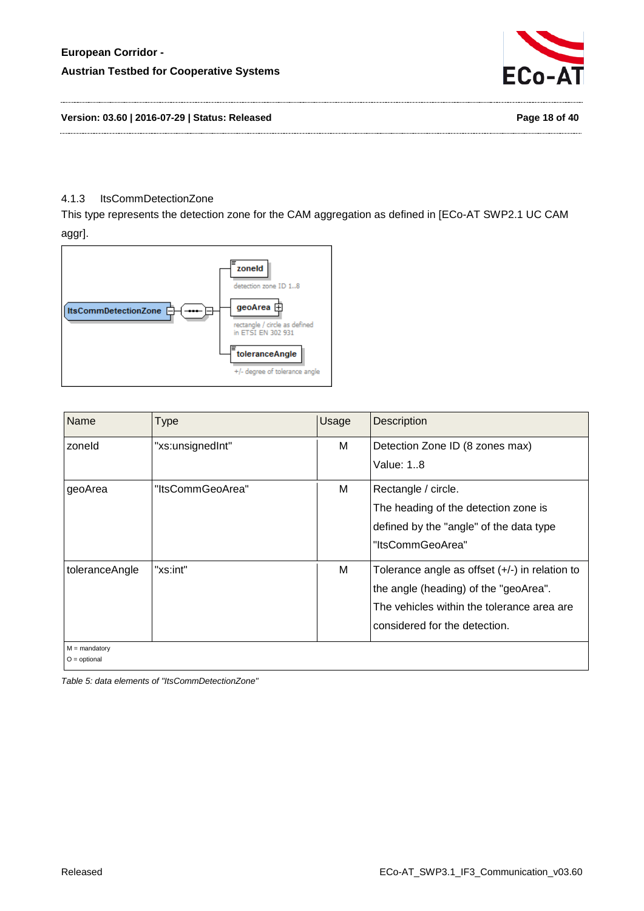

**Version: 03.60 | 2016-07-29 | Status: Released Page 18 of 40**

#### <span id="page-17-0"></span>4.1.3 ItsCommDetectionZone

This type represents the detection zone for the CAM aggregation as defined in [ECo-AT SWP2.1 UC CAM aggr].



| Name                              | <b>Type</b>      | Usage | <b>Description</b>                                                                                                                                                       |
|-----------------------------------|------------------|-------|--------------------------------------------------------------------------------------------------------------------------------------------------------------------------|
| zoneld                            | "xs:unsignedInt" | м     | Detection Zone ID (8 zones max)<br>Value: 18                                                                                                                             |
| geoArea                           | "ItsCommGeoArea" | м     | Rectangle / circle.<br>The heading of the detection zone is<br>defined by the "angle" of the data type<br>"ItsCommGeoArea"                                               |
| toleranceAngle                    | "xs:int"         | М     | Tolerance angle as offset $(+/-)$ in relation to<br>the angle (heading) of the "geoArea".<br>The vehicles within the tolerance area are<br>considered for the detection. |
| $M =$ mandatory<br>$O =$ optional |                  |       |                                                                                                                                                                          |

<span id="page-17-1"></span>*Table 5: data elements of "ItsCommDetectionZone"*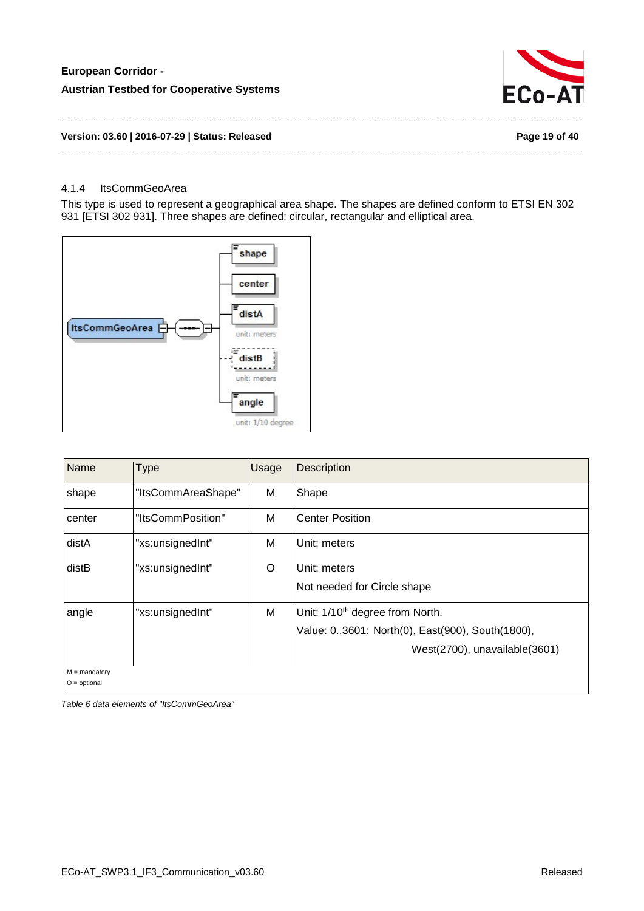

#### **Version: 03.60 | 2016-07-29 | Status: Released Page 19 of 40**

#### <span id="page-18-0"></span>4.1.4 ItsCommGeoArea

This type is used to represent a geographical area shape. The shapes are defined conform to ETSI EN 302 931 [ETSI 302 931]. Three shapes are defined: circular, rectangular and elliptical area.



| Name            | <b>Type</b>        | Usage | <b>Description</b>                                                                                                              |
|-----------------|--------------------|-------|---------------------------------------------------------------------------------------------------------------------------------|
| shape           | "ItsCommAreaShape" | M     | Shape                                                                                                                           |
| center          | "ItsCommPosition"  | M     | <b>Center Position</b>                                                                                                          |
| distA           | "xs:unsignedInt"   | M     | Unit: meters                                                                                                                    |
| distB           | "xs:unsignedInt"   | O     | Unit: meters<br>Not needed for Circle shape                                                                                     |
| angle           | "xs:unsignedInt"   | M     | Unit: 1/10 <sup>th</sup> degree from North.<br>Value: 03601: North(0), East(900), South(1800),<br>West(2700), unavailable(3601) |
| $M =$ mandatory |                    |       |                                                                                                                                 |

O = optional

<span id="page-18-1"></span>*Table 6 data elements of "ItsCommGeoArea"*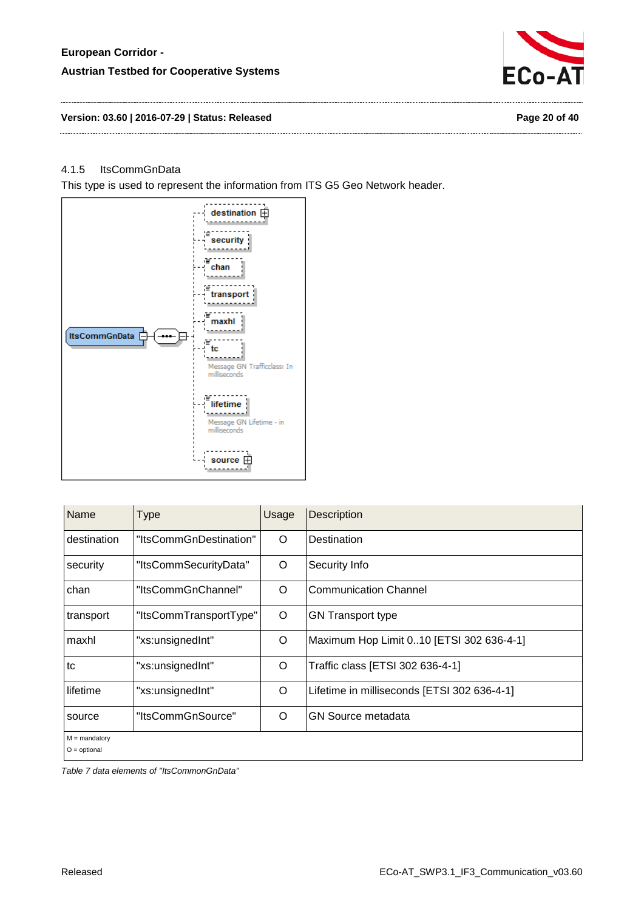

#### <span id="page-19-0"></span>4.1.5 ItsCommGnData

This type is used to represent the information from ITS G5 Geo Network header.



| Name                              | <b>Type</b>            | Usage | <b>Description</b>                          |
|-----------------------------------|------------------------|-------|---------------------------------------------|
| destination                       | "ItsCommGnDestination" | O     | Destination                                 |
| security                          | "ItsCommSecurityData"  | O     | Security Info                               |
| chan                              | "ItsCommGnChannel"     | O     | <b>Communication Channel</b>                |
| transport                         | "ItsCommTransportType" | O     | <b>GN Transport type</b>                    |
| maxhl                             | "xs:unsignedInt"       | O     | Maximum Hop Limit 010 [ETSI 302 636-4-1]    |
| tc                                | "xs:unsignedInt"       | O     | Traffic class [ETSI 302 636-4-1]            |
| lifetime                          | "xs:unsignedInt"       | O     | Lifetime in milliseconds [ETSI 302 636-4-1] |
| source                            | "ItsCommGnSource"      | O     | <b>GN Source metadata</b>                   |
| $M =$ mandatory<br>$O =$ optional |                        |       |                                             |

<span id="page-19-1"></span>*Table 7 data elements of "ItsCommonGnData"*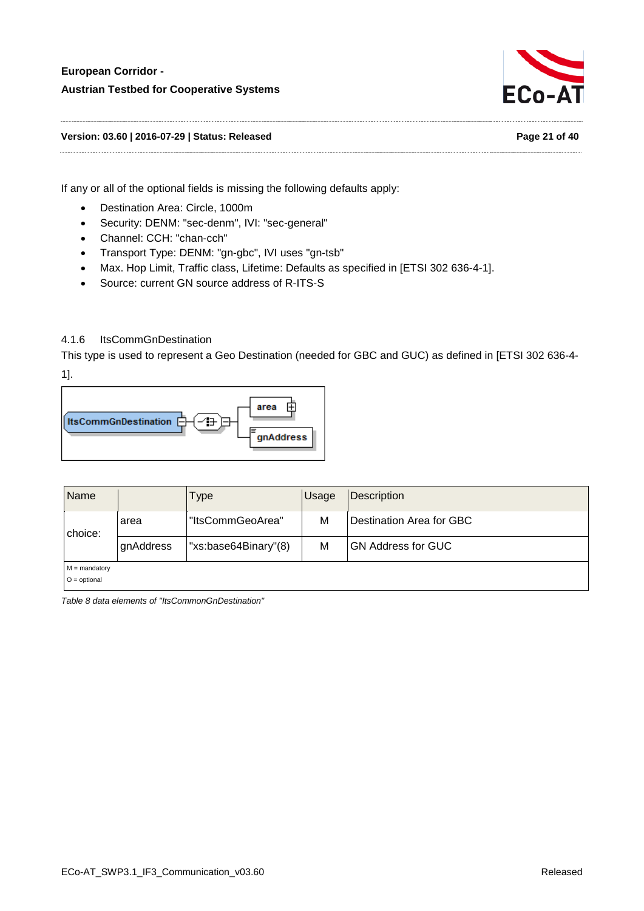

**Version: 03.60 | 2016-07-29 | Status: Released Page 21 of 40**

If any or all of the optional fields is missing the following defaults apply:

- Destination Area: Circle, 1000m
- Security: DENM: "sec-denm", IVI: "sec-general"
- Channel: CCH: "chan-cch"
- Transport Type: DENM: "gn-gbc", IVI uses "gn-tsb"
- Max. Hop Limit, Traffic class, Lifetime: Defaults as specified in [ETSI 302 636-4-1].
- Source: current GN source address of R-ITS-S

# <span id="page-20-0"></span>4.1.6 ItsCommGnDestination

This type is used to represent a Geo Destination (needed for GBC and GUC) as defined in [ETSI 302 636-4- 1].



| <b>Name</b>                       |           | i ype                | <b>Usage</b> | <b>Description</b>        |
|-----------------------------------|-----------|----------------------|--------------|---------------------------|
| choice:                           | area      | "ItsCommGeoArea"     | М            | Destination Area for GBC  |
|                                   | gnAddress | "xs:base64Binary"(8) | M            | <b>GN Address for GUC</b> |
| $M =$ mandatory<br>$O =$ optional |           |                      |              |                           |

<span id="page-20-1"></span>*Table 8 data elements of "ItsCommonGnDestination"*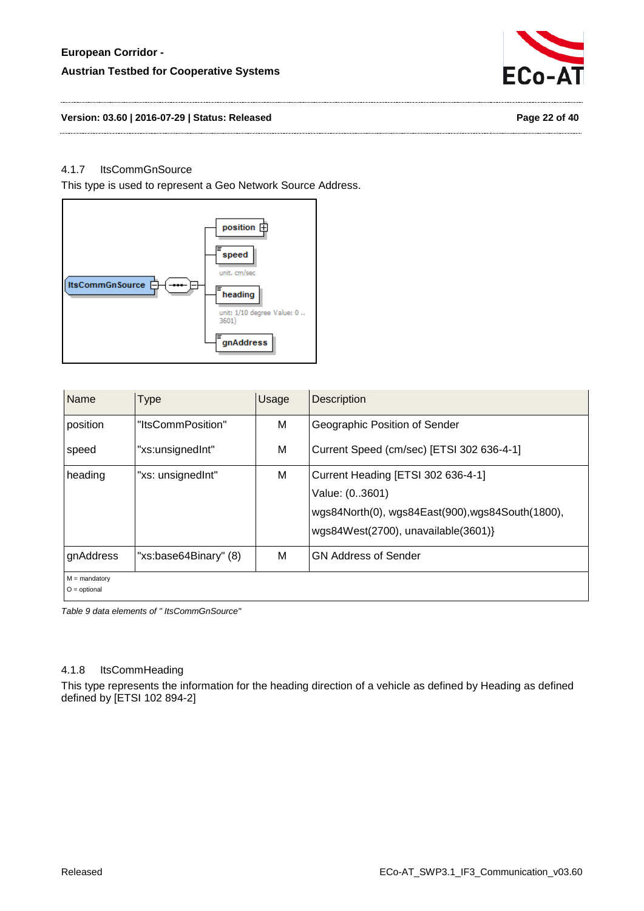# **European Corridor - Austrian Testbed for Cooperative Systems**



#### **Version: 03.60 | 2016-07-29 | Status: Released Page 22 of 40**

#### <span id="page-21-0"></span>4.1.7 ItsCommGnSource

This type is used to represent a Geo Network Source Address.



| Name                              | Type                  | Usage | <b>Description</b>                                                                                                                              |
|-----------------------------------|-----------------------|-------|-------------------------------------------------------------------------------------------------------------------------------------------------|
| position                          | "ItsCommPosition"     | M     | Geographic Position of Sender                                                                                                                   |
| speed                             | "xs:unsignedInt"      | м     | Current Speed (cm/sec) [ETSI 302 636-4-1]                                                                                                       |
| I heading                         | "xs: unsignedInt"     | м     | Current Heading [ETSI 302 636-4-1]<br>Value: (03601)<br>wgs84North(0), wgs84East(900), wgs84South(1800),<br>wgs84West(2700), unavailable(3601)} |
| gnAddress                         | "xs:base64Binary" (8) | M     | <b>GN Address of Sender</b>                                                                                                                     |
| $M =$ mandatory<br>$O =$ optional |                       |       |                                                                                                                                                 |

<span id="page-21-2"></span>*Table 9 data elements of " ItsCommGnSource"*

#### <span id="page-21-1"></span>4.1.8 ItsCommHeading

This type represents the information for the heading direction of a vehicle as defined by Heading as defined defined by [ETSI 102 894-2]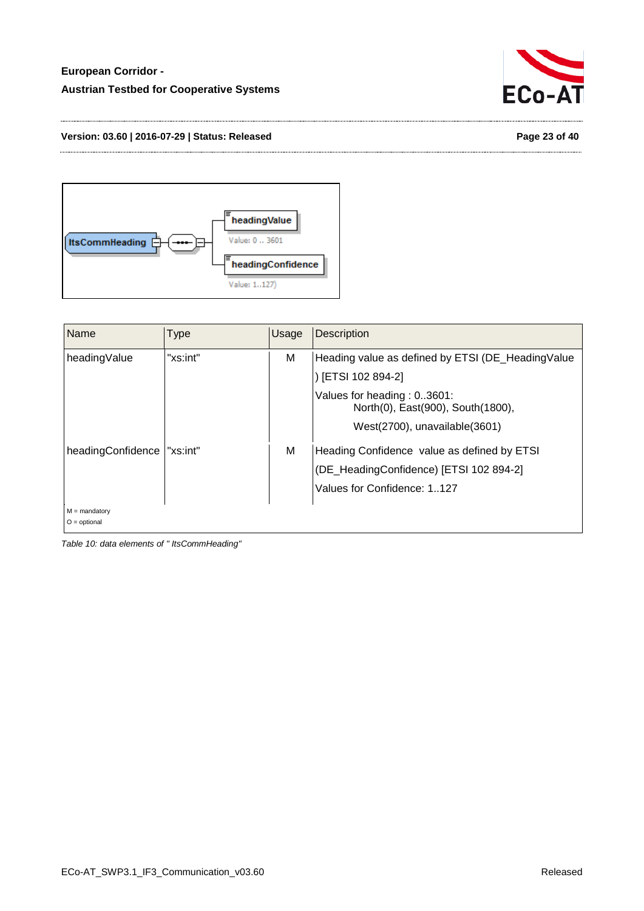

#### **Version: 03.60 | 2016-07-29 | Status: Released Page 23 of 40**



| Name                              | <b>Type</b> | Usage | Description                                                                                                                                                                     |
|-----------------------------------|-------------|-------|---------------------------------------------------------------------------------------------------------------------------------------------------------------------------------|
| headingValue                      | "xs:int"    | M     | Heading value as defined by ETSI (DE_HeadingValue<br>[ETSI 102 894-2]<br>Values for heading: 03601:<br>North(0), East(900), South(1800),<br>$West(2700)$ , unavailable $(3601)$ |
| headingConfidence                 | "xs:int"    | M     | Heading Confidence value as defined by ETSI<br>(DE_HeadingConfidence) [ETSI 102 894-2]<br>Values for Confidence: 1127                                                           |
| $M =$ mandatory<br>$O =$ optional |             |       |                                                                                                                                                                                 |

<span id="page-22-0"></span>*Table 10: data elements of " ItsCommHeading"*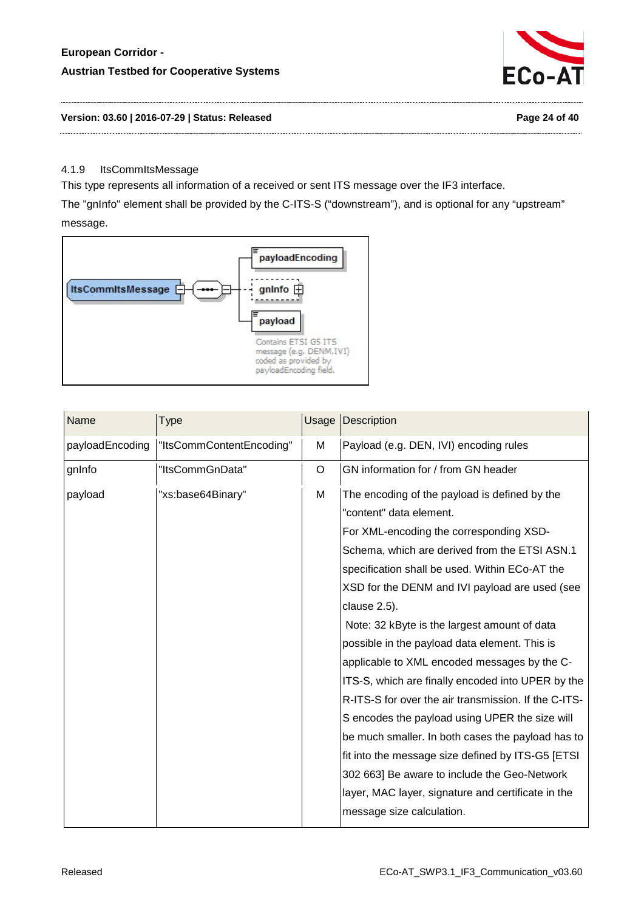# **European Corridor - Austrian Testbed for Cooperative Systems**



#### **Version: 03.60 | 2016-07-29 | Status: Released Page 24 of 40**

#### <span id="page-23-0"></span>4.1.9 ItsCommItsMessage

This type represents all information of a received or sent ITS message over the IF3 interface.

The "gnInfo" element shall be provided by the C-ITS-S ("downstream"), and is optional for any "upstream" message.



| Name            | Type                     | Usage | <b>Description</b>                                                                                                                                                                                                                                                                                                                                                                                                                                                                                                                                                                                                                                                                                                                                                                                                                                     |
|-----------------|--------------------------|-------|--------------------------------------------------------------------------------------------------------------------------------------------------------------------------------------------------------------------------------------------------------------------------------------------------------------------------------------------------------------------------------------------------------------------------------------------------------------------------------------------------------------------------------------------------------------------------------------------------------------------------------------------------------------------------------------------------------------------------------------------------------------------------------------------------------------------------------------------------------|
| payloadEncoding | "ItsCommContentEncoding" | M     | Payload (e.g. DEN, IVI) encoding rules                                                                                                                                                                                                                                                                                                                                                                                                                                                                                                                                                                                                                                                                                                                                                                                                                 |
| gnInfo          | "ItsCommGnData"          | O     | GN information for / from GN header                                                                                                                                                                                                                                                                                                                                                                                                                                                                                                                                                                                                                                                                                                                                                                                                                    |
| payload         | "xs:base64Binary"        | M     | The encoding of the payload is defined by the<br>"content" data element.<br>For XML-encoding the corresponding XSD-<br>Schema, which are derived from the ETSI ASN.1<br>specification shall be used. Within ECo-AT the<br>XSD for the DENM and IVI payload are used (see<br>clause 2.5).<br>Note: 32 kByte is the largest amount of data<br>possible in the payload data element. This is<br>applicable to XML encoded messages by the C-<br>ITS-S, which are finally encoded into UPER by the<br>R-ITS-S for over the air transmission. If the C-ITS-<br>S encodes the payload using UPER the size will<br>be much smaller. In both cases the payload has to<br>fit into the message size defined by ITS-G5 [ETSI]<br>302 663] Be aware to include the Geo-Network<br>layer, MAC layer, signature and certificate in the<br>message size calculation. |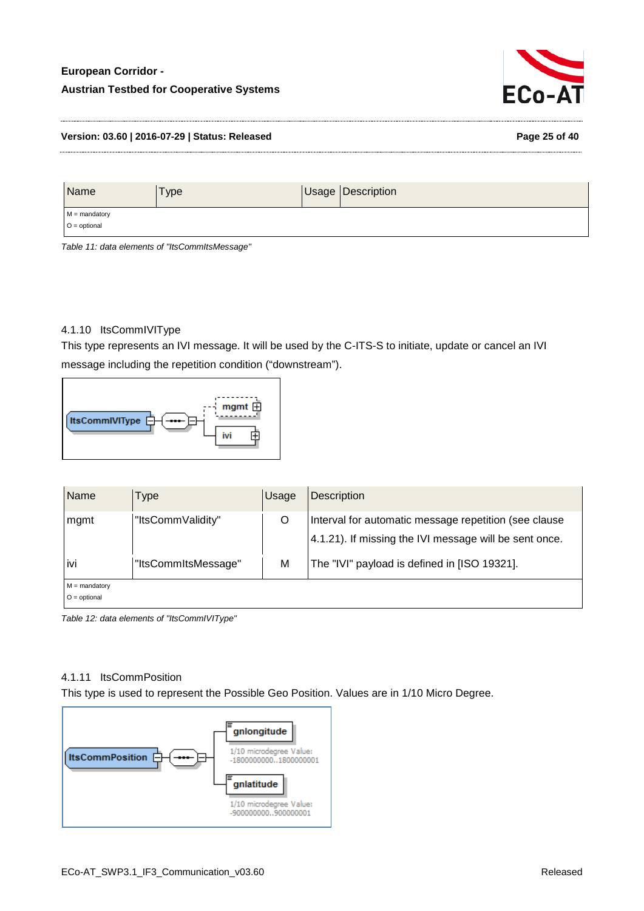# **European Corridor - Austrian Testbed for Cooperative Systems**



#### **Version: 03.60 | 2016-07-29 | Status: Released Page 25 of 40**

| Name                              | Type | Usage Description |
|-----------------------------------|------|-------------------|
| $M =$ mandatory<br>$O =$ optional |      |                   |

<span id="page-24-2"></span>*Table 11: data elements of "ItsCommItsMessage"*

#### <span id="page-24-0"></span>4.1.10 ItsCommIVIType

This type represents an IVI message. It will be used by the C-ITS-S to initiate, update or cancel an IVI message including the repetition condition ("downstream").



| Name                              | Type                | Usage | <b>Description</b>                                                                                              |
|-----------------------------------|---------------------|-------|-----------------------------------------------------------------------------------------------------------------|
| mgmt                              | "ItsCommValidity"   | O     | Interval for automatic message repetition (see clause<br>4.1.21). If missing the IVI message will be sent once. |
| ivi                               | "ItsCommItsMessage" | M     | The "IVI" payload is defined in [ISO 19321].                                                                    |
| $M =$ mandatory<br>$O =$ optional |                     |       |                                                                                                                 |

<span id="page-24-3"></span>*Table 12: data elements of "ItsCommIVIType"*

#### <span id="page-24-1"></span>4.1.11 ItsCommPosition

This type is used to represent the Possible Geo Position. Values are in 1/10 Micro Degree.

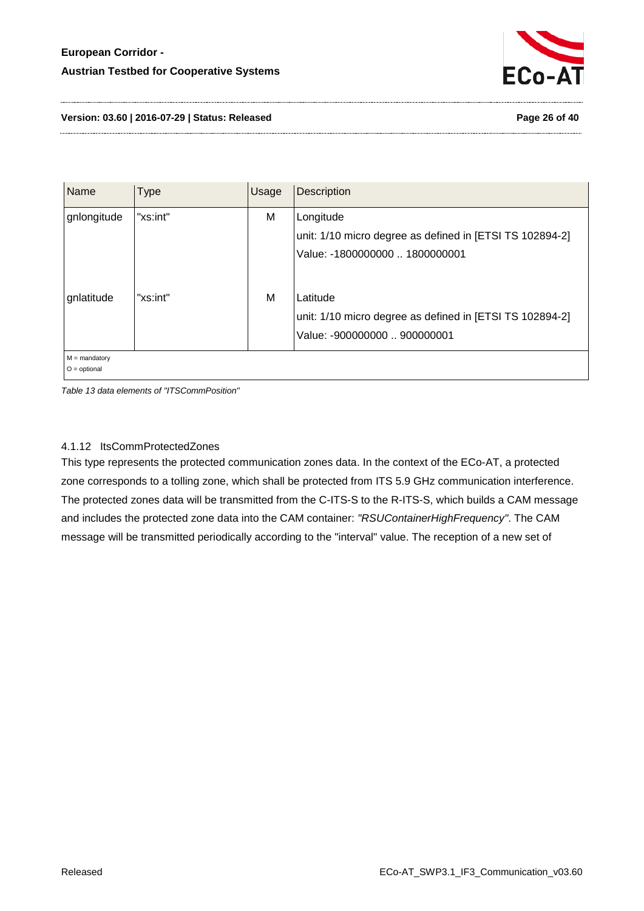

**Version: 03.60 | 2016-07-29 | Status: Released Page 26 of 40**

| "xs:int"<br>gnlongitude                   | M | Longitude                                                                                            |
|-------------------------------------------|---|------------------------------------------------------------------------------------------------------|
|                                           |   | unit: 1/10 micro degree as defined in [ETSI TS 102894-2]<br>Value: -1800000000  1800000001           |
| "xs:int"<br>gnlatitude<br>$M =$ mandatory | M | Latitude<br>unit: 1/10 micro degree as defined in [ETSI TS 102894-2]<br>Value: -900000000  900000001 |

O = optional

<span id="page-25-1"></span>*Table 13 data elements of "ITSCommPosition"*

#### <span id="page-25-0"></span>4.1.12 ItsCommProtectedZones

This type represents the protected communication zones data. In the context of the ECo-AT, a protected zone corresponds to a tolling zone, which shall be protected from ITS 5.9 GHz communication interference. The protected zones data will be transmitted from the C-ITS-S to the R-ITS-S, which builds a CAM message and includes the protected zone data into the CAM container: *"RSUContainerHighFrequency"*. The CAM message will be transmitted periodically according to the "interval" value. The reception of a new set of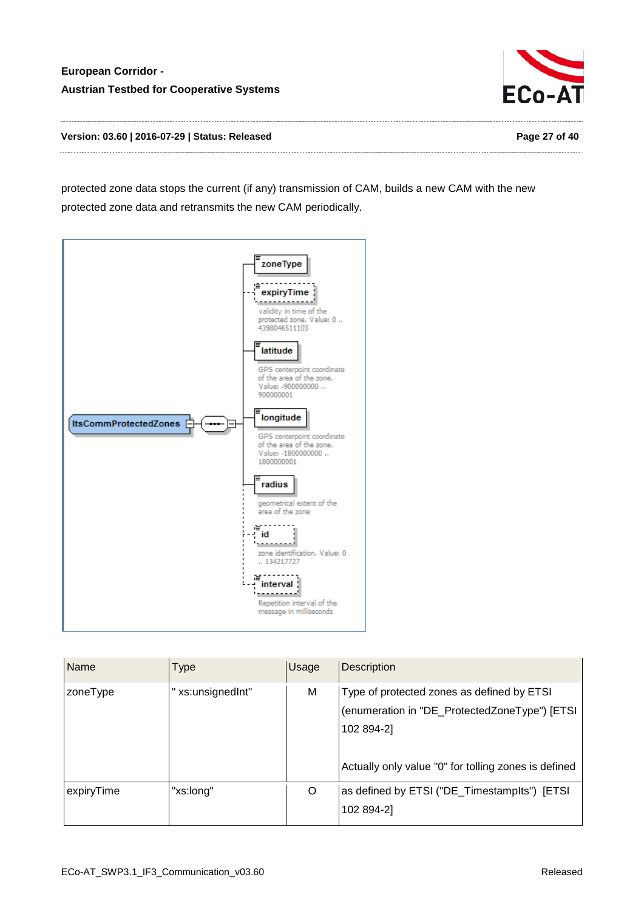

**Version: 03.60 | 2016-07-29 | Status: Released Page 27 of 40**

protected zone data stops the current (if any) transmission of CAM, builds a new CAM with the new protected zone data and retransmits the new CAM periodically.



| Name       | Type             | Usage | <b>Description</b>                                                                                        |
|------------|------------------|-------|-----------------------------------------------------------------------------------------------------------|
| zoneType   | "xs:unsignedInt" | М     | Type of protected zones as defined by ETSI<br>(enumeration in "DE_ProtectedZoneType") [ETSI<br>102 894-2] |
|            |                  |       | Actually only value "0" for tolling zones is defined                                                      |
| expiryTime | "xs:long"        | O     | as defined by ETSI ("DE_TimestampIts") [ETSI<br>102 894-2]                                                |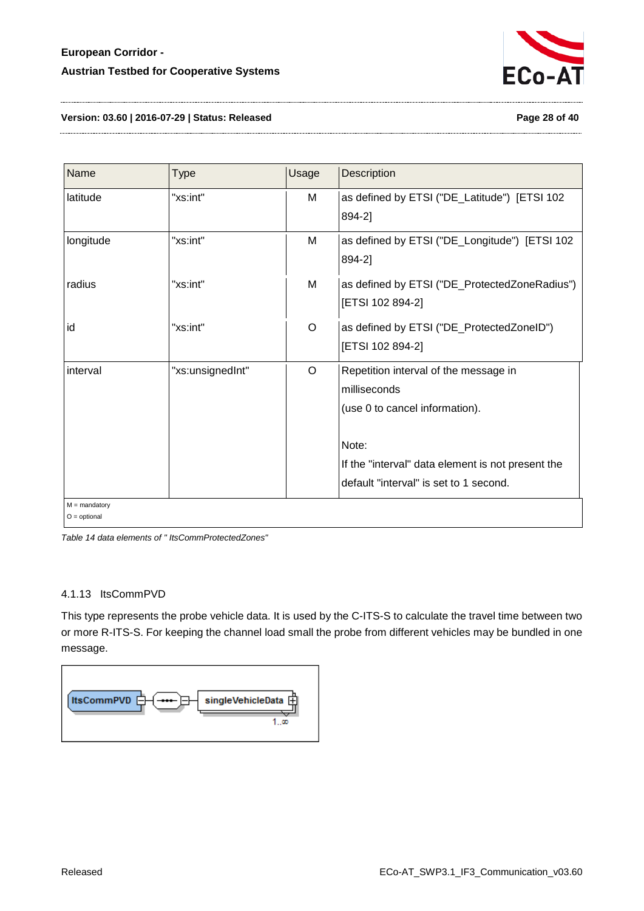

**Version: 03.60 | 2016-07-29 | Status: Released Page 28 of 40**

| Name            | <b>Type</b>      | <b>Usage</b> | Description                                       |
|-----------------|------------------|--------------|---------------------------------------------------|
| latitude        | "xs:int"         | M            | as defined by ETSI ("DE_Latitude") [ETSI 102      |
|                 |                  |              | 894-2]                                            |
| longitude       | "xs:int"         | M            | as defined by ETSI ("DE_Longitude") [ETSI 102     |
|                 |                  |              | 894-2]                                            |
| radius          | "xs:int"         | M            | as defined by ETSI ("DE_ProtectedZoneRadius")     |
|                 |                  |              | [ETSI 102 894-2]                                  |
| id              | "xs:int"         | O            | as defined by ETSI ("DE_ProtectedZoneID")         |
|                 |                  |              | [ETSI 102 894-2]                                  |
| interval        | "xs:unsignedInt" | O            | Repetition interval of the message in             |
|                 |                  |              | milliseconds                                      |
|                 |                  |              | (use 0 to cancel information).                    |
|                 |                  |              | Note:                                             |
|                 |                  |              | If the "interval" data element is not present the |
|                 |                  |              | default "interval" is set to 1 second.            |
| $M =$ mandatory |                  |              |                                                   |
| $O =$ optional  |                  |              |                                                   |

<span id="page-27-1"></span>*Table 14 data elements of " ItsCommProtectedZones"*

#### <span id="page-27-0"></span>4.1.13 ItsCommPVD

This type represents the probe vehicle data. It is used by the C-ITS-S to calculate the travel time between two or more R-ITS-S. For keeping the channel load small the probe from different vehicles may be bundled in one message.

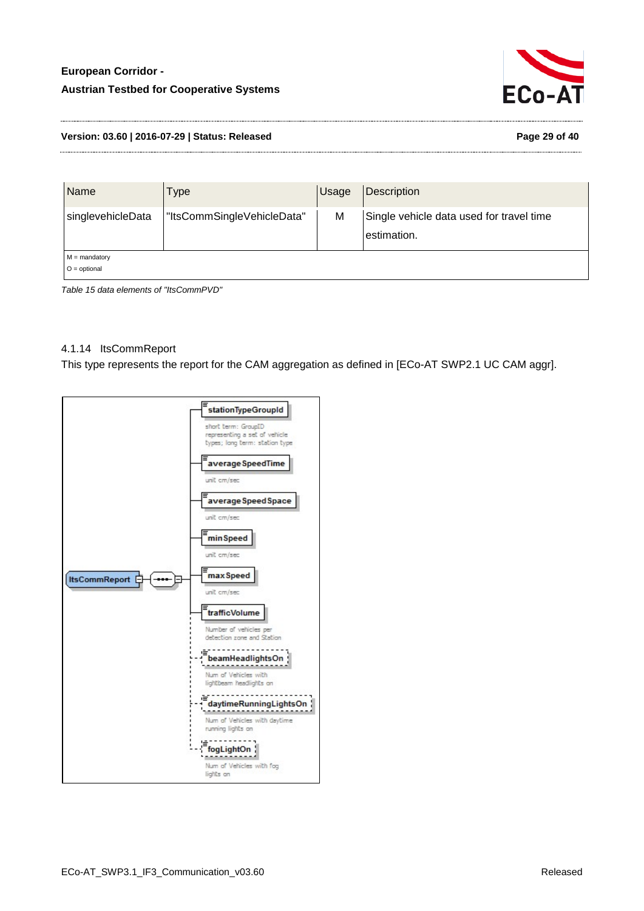

#### **Version: 03.60 | 2016-07-29 | Status: Released Page 29 of 40**

| Name                              | Гуре                       | Usage | <b>Description</b>                                      |
|-----------------------------------|----------------------------|-------|---------------------------------------------------------|
| singlevehicleData                 | "ItsCommSingleVehicleData" | M     | Single vehicle data used for travel time<br>estimation. |
| $M =$ mandatory<br>$O =$ optional |                            |       |                                                         |

<span id="page-28-1"></span>*Table 15 data elements of "ItsCommPVD"*

# <span id="page-28-0"></span>4.1.14 ItsCommReport

This type represents the report for the CAM aggregation as defined in [ECo-AT SWP2.1 UC CAM aggr].

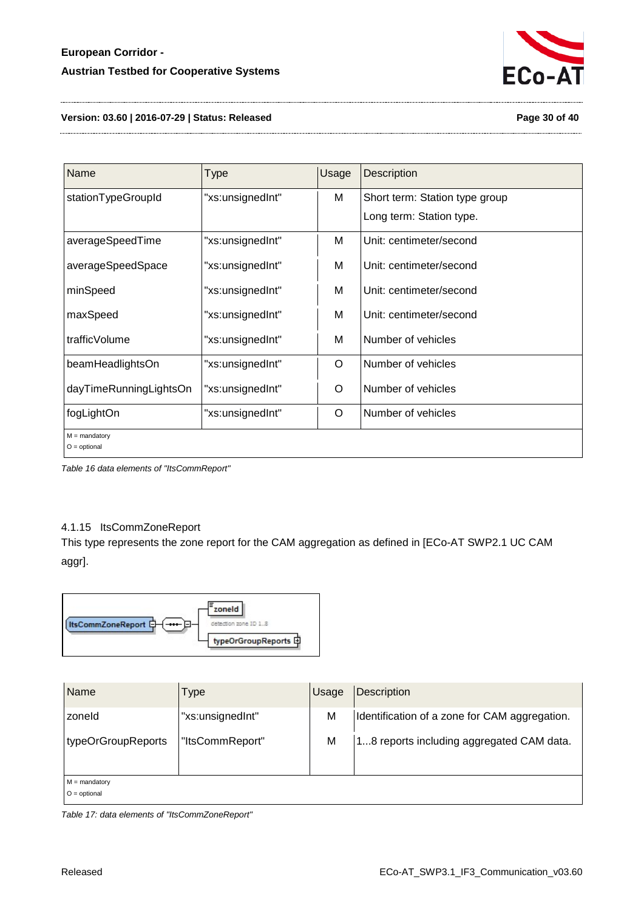

#### **Version: 03.60 | 2016-07-29 | Status: Released Page 30 of 40**

| Name                              | Type             | Usage | Description                    |
|-----------------------------------|------------------|-------|--------------------------------|
| stationTypeGroupId                | "xs:unsignedInt" | M     | Short term: Station type group |
|                                   |                  |       | Long term: Station type.       |
| averageSpeedTime                  | "xs:unsignedInt" | M     | Unit: centimeter/second        |
| averageSpeedSpace                 | "xs:unsignedInt" | M     | Unit: centimeter/second        |
| minSpeed                          | "xs:unsignedInt" | M     | Unit: centimeter/second        |
| maxSpeed                          | "xs:unsignedInt" | M     | Unit: centimeter/second        |
| trafficVolume                     | "xs:unsignedInt" | M     | Number of vehicles             |
| beamHeadlightsOn                  | "xs:unsignedInt" | O     | Number of vehicles             |
| dayTimeRunningLightsOn            | "xs:unsignedInt" | O     | Number of vehicles             |
| fogLightOn                        | "xs:unsignedInt" | O     | Number of vehicles             |
| $M =$ mandatory<br>$O =$ optional |                  |       |                                |

<span id="page-29-1"></span>*Table 16 data elements of "ItsCommReport"*

#### <span id="page-29-0"></span>4.1.15 ItsCommZoneReport

This type represents the zone report for the CAM aggregation as defined in [ECo-AT SWP2.1 UC CAM aggr].



| <b>Name</b>                       | Type             | Usage | Description                                   |
|-----------------------------------|------------------|-------|-----------------------------------------------|
| zoneld                            | "xs:unsignedInt" | M     | Identification of a zone for CAM aggregation. |
| typeOrGroupReports                | "ItsCommReport"  | M     | 18 reports including aggregated CAM data.     |
| $M =$ mandatory<br>$O =$ optional |                  |       |                                               |

<span id="page-29-2"></span>*Table 17: data elements of "ItsCommZoneReport"*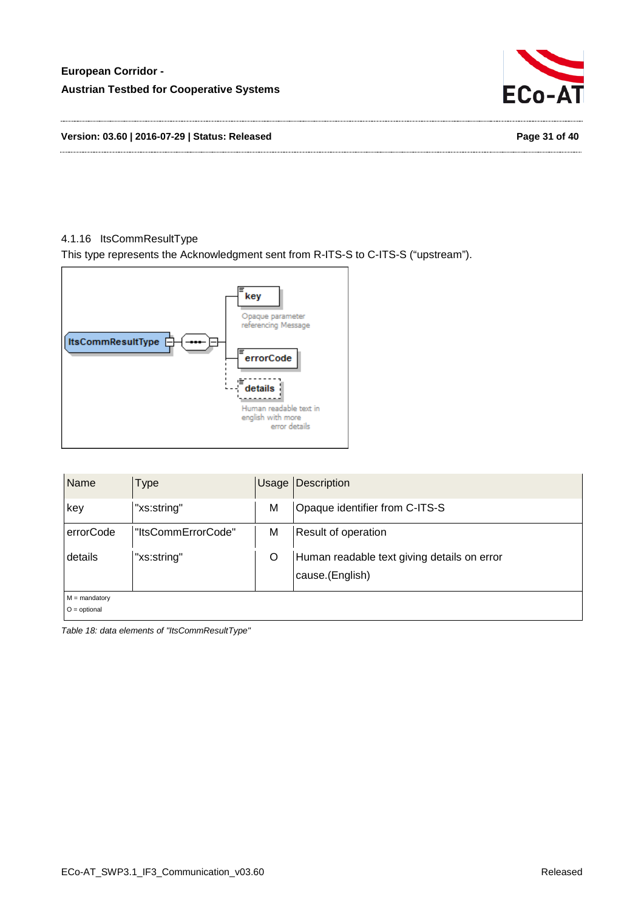

#### <span id="page-30-0"></span>4.1.16 ItsCommResultType

This type represents the Acknowledgment sent from R-ITS-S to C-ITS-S ("upstream").



| Name                              | Type               | Usage | <b>Description</b>                                             |
|-----------------------------------|--------------------|-------|----------------------------------------------------------------|
| key                               | "xs:string"        | M     | Opaque identifier from C-ITS-S                                 |
| errorCode                         | "ItsCommErrorCode" | M     | Result of operation                                            |
| details                           | "xs:string"        | O     | Human readable text giving details on error<br>cause.(English) |
| $M =$ mandatory<br>$O =$ optional |                    |       |                                                                |

<span id="page-30-1"></span>*Table 18: data elements of "ItsCommResultType"*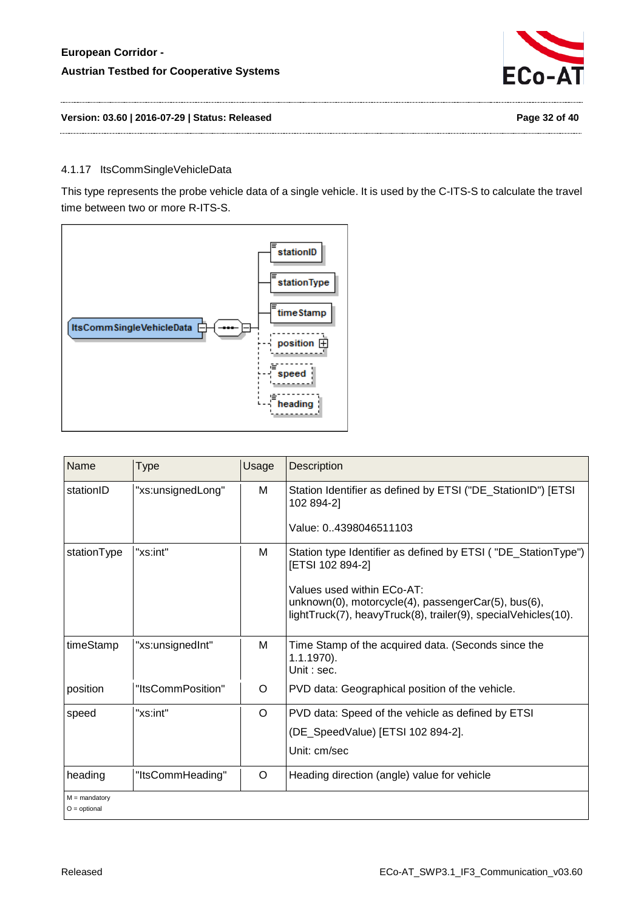

**Version: 03.60 | 2016-07-29 | Status: Released Page 32 of 40**

## <span id="page-31-0"></span>4.1.17 ItsCommSingleVehicleData

This type represents the probe vehicle data of a single vehicle. It is used by the C-ITS-S to calculate the travel time between two or more R-ITS-S.



| Name                              | Type              | Usage | <b>Description</b>                                                                                                                                  |
|-----------------------------------|-------------------|-------|-----------------------------------------------------------------------------------------------------------------------------------------------------|
| stationID                         | "xs:unsignedLong" | м     | Station Identifier as defined by ETSI ("DE_StationID") [ETSI<br>102 894-21                                                                          |
|                                   |                   |       | Value: 04398046511103                                                                                                                               |
| stationType                       | "xs:int"          | M     | Station type Identifier as defined by ETSI ("DE_StationType")<br>[ETSI 102 894-2]                                                                   |
|                                   |                   |       | Values used within ECo-AT:<br>unknown(0), motorcycle(4), passengerCar(5), bus(6),<br>lightTruck(7), heavyTruck(8), trailer(9), specialVehicles(10). |
| timeStamp                         | "xs:unsignedInt"  | м     | Time Stamp of the acquired data. (Seconds since the<br>$1.1.1970$ ).<br>Unit : sec.                                                                 |
| position                          | "ItsCommPosition" | O     | PVD data: Geographical position of the vehicle.                                                                                                     |
| speed                             | "xs:int"          | O     | PVD data: Speed of the vehicle as defined by ETSI                                                                                                   |
|                                   |                   |       | (DE_SpeedValue) [ETSI 102 894-2].                                                                                                                   |
|                                   |                   |       | Unit: cm/sec                                                                                                                                        |
| heading                           | "ItsCommHeading"  | O     | Heading direction (angle) value for vehicle                                                                                                         |
| $M =$ mandatory<br>$O =$ optional |                   |       |                                                                                                                                                     |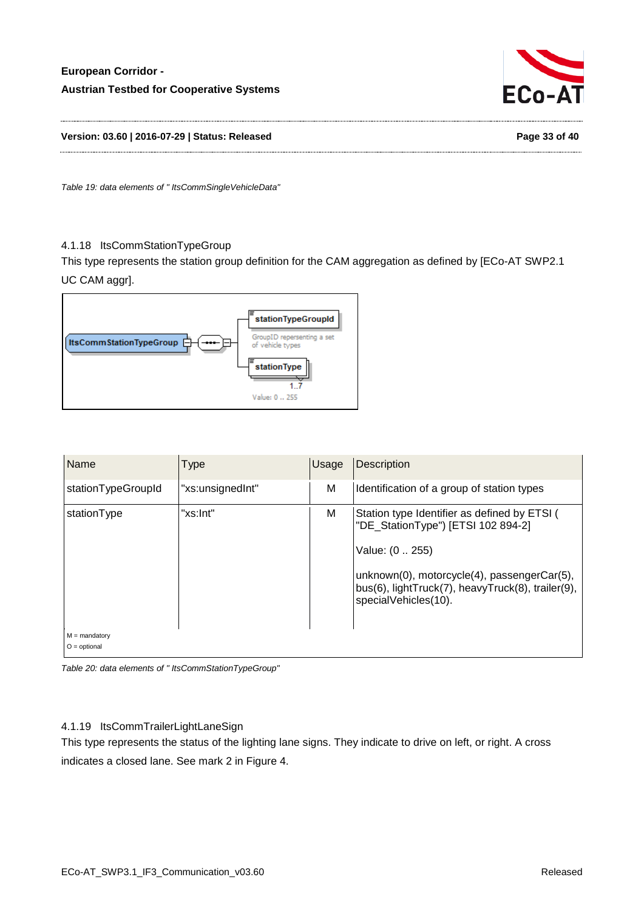

**Version: 03.60 | 2016-07-29 | Status: Released Page 33 of 40**

<span id="page-32-2"></span>*Table 19: data elements of " ItsCommSingleVehicleData"*

#### <span id="page-32-0"></span>4.1.18 ItsCommStationTypeGroup

This type represents the station group definition for the CAM aggregation as defined by [ECo-AT SWP2.1 UC CAM aggr].



| Name                              | Type             | Usage | <b>Description</b>                                                                                                                                                                                                                |
|-----------------------------------|------------------|-------|-----------------------------------------------------------------------------------------------------------------------------------------------------------------------------------------------------------------------------------|
| stationTypeGroupId                | "xs:unsignedInt" | M     | Identification of a group of station types                                                                                                                                                                                        |
| stationType                       | "xs:Int"         | M     | Station type Identifier as defined by ETSI (<br>"DE_StationType") [ETSI 102 894-2]<br>Value: (0  255)<br>unknown(0), motorcycle(4), passengerCar(5),<br>bus(6), lightTruck(7), heavyTruck(8), trailer(9),<br>specialVehicles(10). |
| $M =$ mandatory<br>$O =$ optional |                  |       |                                                                                                                                                                                                                                   |

<span id="page-32-3"></span>*Table 20: data elements of " ItsCommStationTypeGroup"*

#### <span id="page-32-1"></span>4.1.19 ItsCommTrailerLightLaneSign

This type represents the status of the lighting lane signs. They indicate to drive on left, or right. A cross indicates a closed lane. See mark 2 in [Figure 4.](#page-34-1)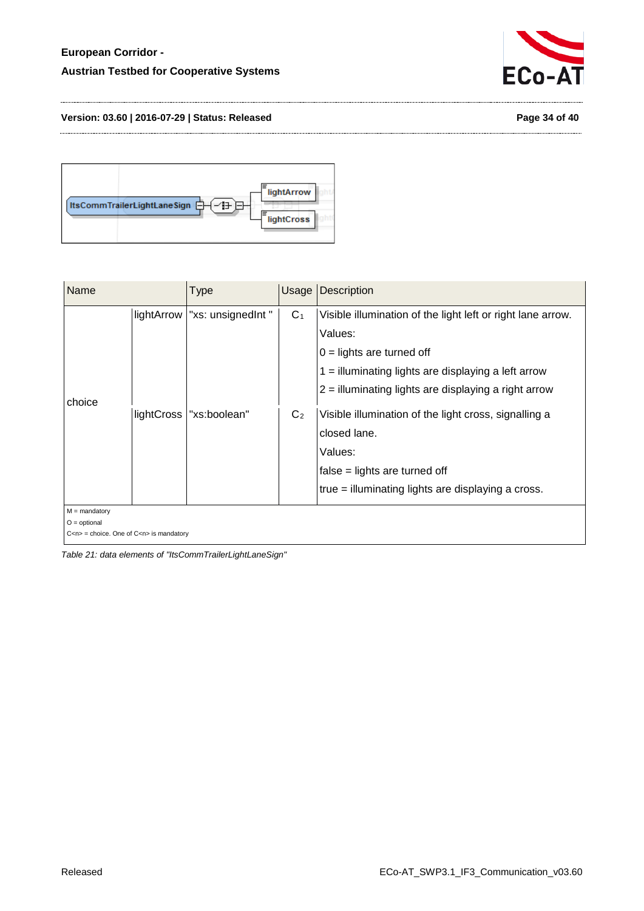



| Name                              |            | <b>Type</b>                                     | Usage                            | <b>Description</b>                                                                                                                                                                                                                                                                                                                                                                                    |
|-----------------------------------|------------|-------------------------------------------------|----------------------------------|-------------------------------------------------------------------------------------------------------------------------------------------------------------------------------------------------------------------------------------------------------------------------------------------------------------------------------------------------------------------------------------------------------|
| choice                            | lightCross | lightArrow   "xs: unsignedInt "<br>"xs:boolean" | C <sub>1</sub><br>C <sub>2</sub> | Visible illumination of the light left or right lane arrow.<br>Values:<br>$0 =$ lights are turned off<br>$1 =$ illuminating lights are displaying a left arrow<br>$2 =$ illuminating lights are displaying a right arrow<br>Visible illumination of the light cross, signalling a<br>closed lane.<br>Values:<br>$false = lights$ are turned off<br>true = illuminating lights are displaying a cross. |
| $M =$ mandatory<br>$O =$ optional |            |                                                 |                                  |                                                                                                                                                                                                                                                                                                                                                                                                       |

C<n> = choice. One of C<n> is mandatory

<span id="page-33-0"></span>*Table 21: data elements of "ItsCommTrailerLightLaneSign"*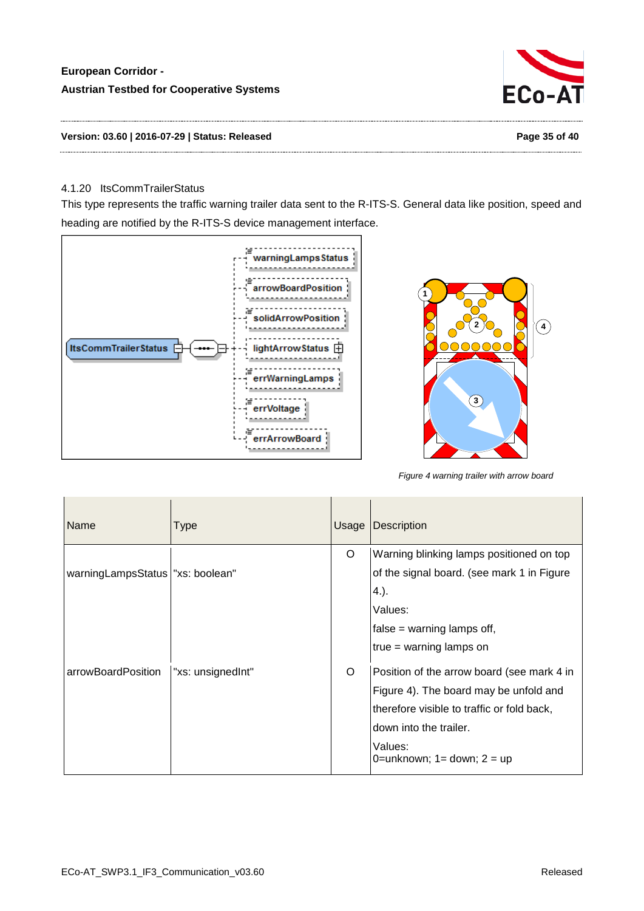

#### **Version: 03.60 | 2016-07-29 | Status: Released Page 35 of 40**

#### <span id="page-34-0"></span>4.1.20 ItsCommTrailerStatus

This type represents the traffic warning trailer data sent to the R-ITS-S. General data like position, speed and heading are notified by the R-ITS-S device management interface.



<span id="page-34-1"></span>

*Figure 4 warning trailer with arrow board*

| Name                               | Type              | Usage | <b>Description</b>                         |
|------------------------------------|-------------------|-------|--------------------------------------------|
|                                    |                   | O     | Warning blinking lamps positioned on top   |
| warningLampsStatus   "xs: boolean" |                   |       | of the signal board. (see mark 1 in Figure |
|                                    |                   |       | 4.).                                       |
|                                    |                   |       | Values:                                    |
|                                    |                   |       | false = warning lamps off,                 |
|                                    |                   |       | $true = warning$ lamps on                  |
| arrowBoardPosition                 | "xs: unsignedInt" | O     | Position of the arrow board (see mark 4 in |
|                                    |                   |       | Figure 4). The board may be unfold and     |
|                                    |                   |       | therefore visible to traffic or fold back, |
|                                    |                   |       | down into the trailer.                     |
|                                    |                   |       | Values:<br>0=unknown; $1 =$ down; $2 =$ up |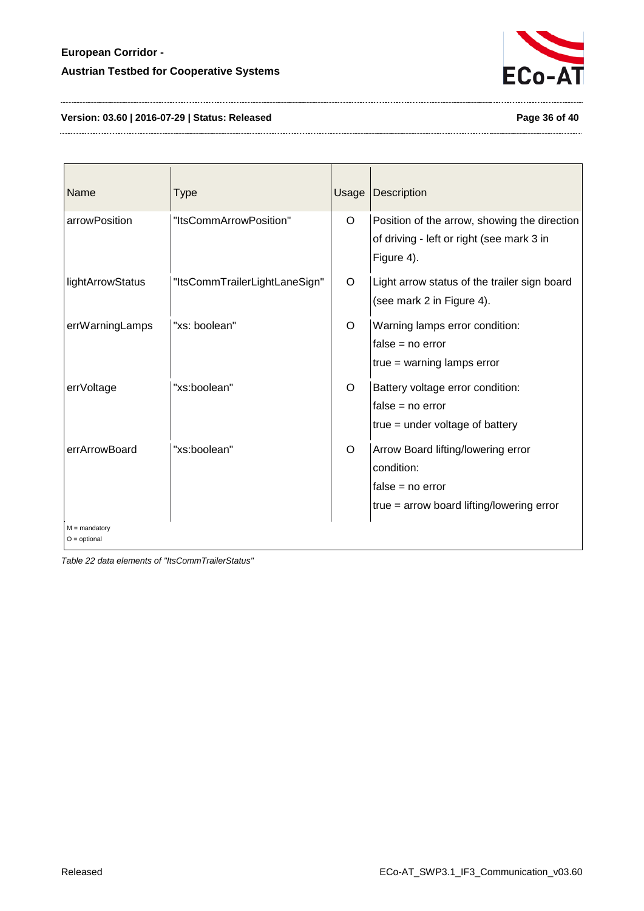

# **Version: 03.60 | 2016-07-29 | Status: Released Page 36 of 40**

| Name                              | <b>Type</b>                   | Usage   | Description                                                                                                           |
|-----------------------------------|-------------------------------|---------|-----------------------------------------------------------------------------------------------------------------------|
| arrowPosition                     | "ItsCommArrowPosition"        | $\circ$ | Position of the arrow, showing the direction<br>of driving - left or right (see mark 3 in<br>Figure 4).               |
| lightArrowStatus                  | "ItsCommTrailerLightLaneSign" | $\circ$ | Light arrow status of the trailer sign board<br>(see mark 2 in Figure 4).                                             |
| errWarningLamps                   | "xs: boolean"                 | $\circ$ | Warning lamps error condition:<br>$false = no error$<br>$true = warning$ lamps error                                  |
| errVoltage                        | "xs:boolean"                  | O       | Battery voltage error condition:<br>$false = no error$<br>$true = under voltage of battery$                           |
| errArrowBoard                     | "xs:boolean"                  | $\circ$ | Arrow Board lifting/lowering error<br>condition:<br>$false = no error$<br>$true = arrow$ board lifting/lowering error |
| $M =$ mandatory<br>$O =$ optional |                               |         |                                                                                                                       |

<span id="page-35-0"></span>*Table 22 data elements of "ItsCommTrailerStatus"*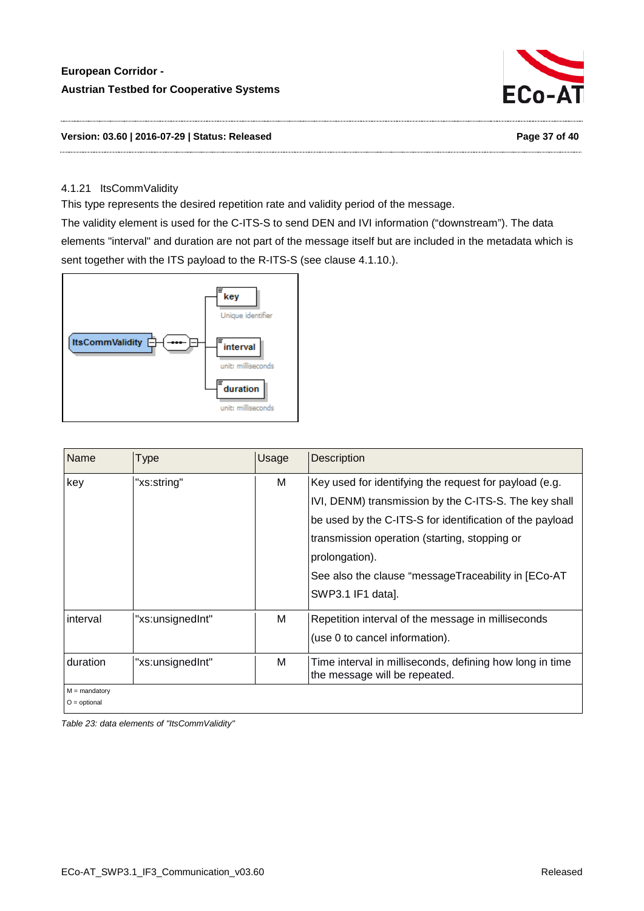

**Version: 03.60 | 2016-07-29 | Status: Released Page 37 of 40**

#### <span id="page-36-0"></span>4.1.21 ItsCommValidity

This type represents the desired repetition rate and validity period of the message. The validity element is used for the C-ITS-S to send DEN and IVI information ("downstream"). The data

elements "interval" and duration are not part of the message itself but are included in the metadata which is sent together with the ITS payload to the R-ITS-S (see clause [4.1.10.](#page-24-0)).



| Name                              | Type             | Usage | <b>Description</b>                                                                                                                                                                                                                                                                                                         |
|-----------------------------------|------------------|-------|----------------------------------------------------------------------------------------------------------------------------------------------------------------------------------------------------------------------------------------------------------------------------------------------------------------------------|
| key                               | "xs:string"      | М     | Key used for identifying the request for payload (e.g.<br>IVI, DENM) transmission by the C-ITS-S. The key shall<br>be used by the C-ITS-S for identification of the payload<br>transmission operation (starting, stopping or<br>prolongation).<br>See also the clause "messageTraceability in [ECo-AT<br>SWP3.1 IF1 data]. |
| interval                          | "xs:unsignedInt" | М     | Repetition interval of the message in milliseconds<br>(use 0 to cancel information).                                                                                                                                                                                                                                       |
| duration                          | "xs:unsignedInt" | м     | Time interval in milliseconds, defining how long in time<br>the message will be repeated.                                                                                                                                                                                                                                  |
| $M =$ mandatory<br>$O =$ optional |                  |       |                                                                                                                                                                                                                                                                                                                            |

<span id="page-36-1"></span>*Table 23: data elements of "ItsCommValidity"*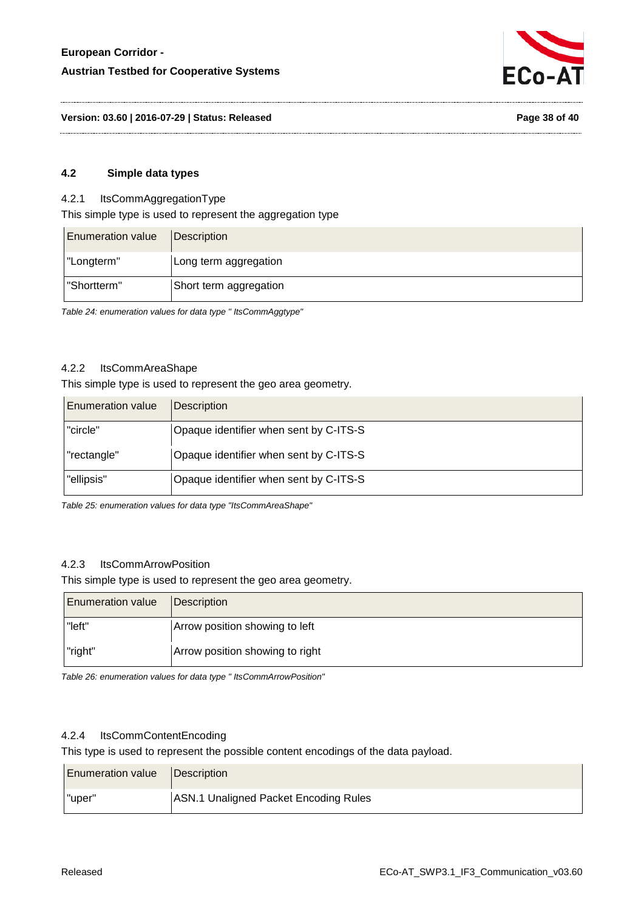

**Version: 03.60 | 2016-07-29 | Status: Released Page 38 of 40**

#### <span id="page-37-0"></span>**4.2 Simple data types**

#### <span id="page-37-1"></span>4.2.1 ItsCommAggregationType

This simple type is used to represent the aggregation type

| <b>Enumeration value</b> | Description            |
|--------------------------|------------------------|
| "Longterm"               | Long term aggregation  |
| "Shortterm"              | Short term aggregation |

<span id="page-37-5"></span>*Table 24: enumeration values for data type " ItsCommAggtype"* 

#### <span id="page-37-2"></span>4.2.2 ItsCommAreaShape

#### This simple type is used to represent the geo area geometry.

| <b>Enumeration value</b> | <b>Description</b>                     |
|--------------------------|----------------------------------------|
| "circle"                 | Opaque identifier when sent by C-ITS-S |
| "rectangle"              | Opaque identifier when sent by C-ITS-S |
| "ellipsis"               | Opaque identifier when sent by C-ITS-S |

<span id="page-37-6"></span>*Table 25: enumeration values for data type "ItsCommAreaShape"*

# <span id="page-37-3"></span>4.2.3 ItsCommArrowPosition

This simple type is used to represent the geo area geometry.

| <b>Enumeration value</b> | Description                     |
|--------------------------|---------------------------------|
| "left"                   | Arrow position showing to left  |
| "right"                  | Arrow position showing to right |

<span id="page-37-7"></span>*Table 26: enumeration values for data type " ItsCommArrowPosition"*

## <span id="page-37-4"></span>4.2.4 ItsCommContentEncoding

This type is used to represent the possible content encodings of the data payload.

| <b>Enumeration value</b> | <b>IDescription</b>                   |
|--------------------------|---------------------------------------|
| "uper"                   | ASN.1 Unaligned Packet Encoding Rules |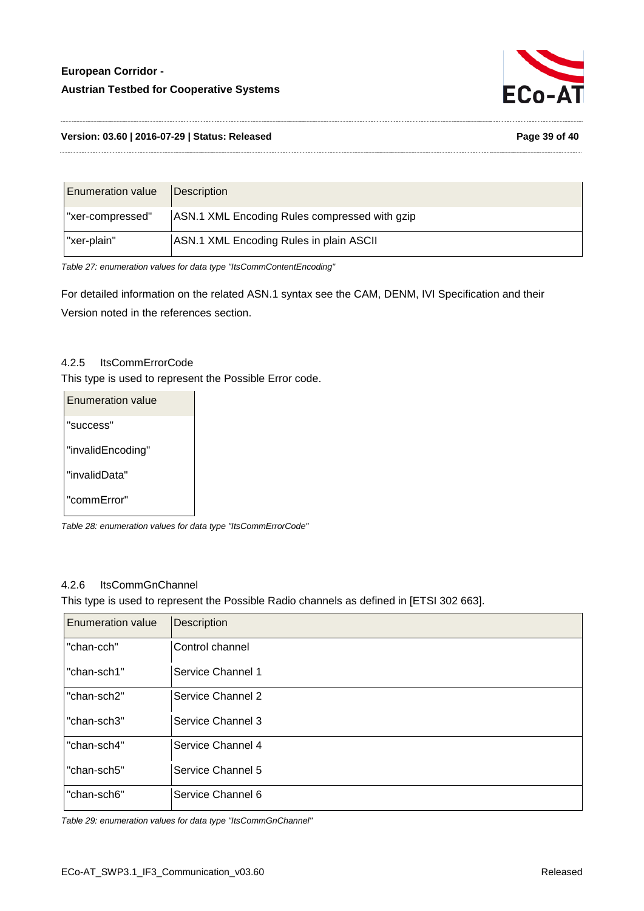

#### **Version: 03.60 | 2016-07-29 | Status: Released Page 39 of 40**

| <b>Enumeration value</b> | <i><b>Description</b></i>                     |
|--------------------------|-----------------------------------------------|
| "xer-compressed"         | ASN.1 XML Encoding Rules compressed with gzip |
| "xer-plain"              | ASN.1 XML Encoding Rules in plain ASCII       |

<span id="page-38-2"></span>*Table 27: enumeration values for data type "ItsCommContentEncoding"* 

For detailed information on the related ASN.1 syntax see the CAM, DENM, IVI Specification and their Version noted in the references section.

#### <span id="page-38-0"></span>4.2.5 ItsCommErrorCode

This type is used to represent the Possible Error code.

| <b>Enumeration value</b> |  |
|--------------------------|--|
| "success"                |  |
| "invalidEncoding"        |  |
| "invalidData"            |  |
| "commError"              |  |

<span id="page-38-3"></span>*Table 28: enumeration values for data type "ItsCommErrorCode"*

#### <span id="page-38-1"></span>4.2.6 ItsCommGnChannel

This type is used to represent the Possible Radio channels as defined in [ETSI 302 663].

| <b>Enumeration value</b> | <b>Description</b> |
|--------------------------|--------------------|
| "chan-cch"               | Control channel    |
| "chan-sch1"              | Service Channel 1  |
| "chan-sch2"              | Service Channel 2  |
| "chan-sch3"              | Service Channel 3  |
| "chan-sch4"              | Service Channel 4  |
| "chan-sch5"              | Service Channel 5  |
| "chan-sch6"              | Service Channel 6  |

<span id="page-38-4"></span>*Table 29: enumeration values for data type "ItsCommGnChannel"*